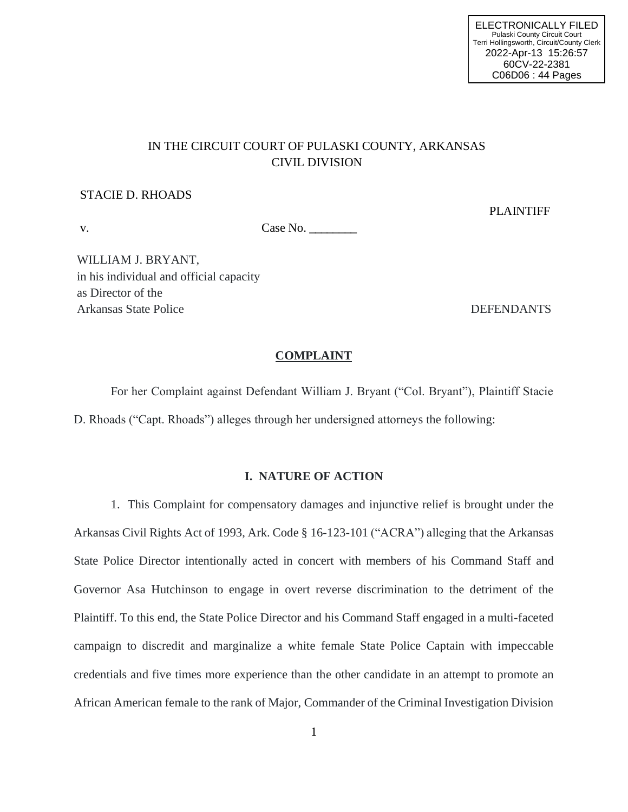# IN THE CIRCUIT COURT OF PULASKI COUNTY, ARKANSAS CIVIL DIVISION

#### STACIE D. RHOADS

PLAINTIFF

v. Case No.

WILLIAM J. BRYANT, in his individual and official capacity as Director of the Arkansas State Police DEFENDANTS

#### **COMPLAINT**

For her Complaint against Defendant William J. Bryant ("Col. Bryant"), Plaintiff Stacie D. Rhoads ("Capt. Rhoads") alleges through her undersigned attorneys the following:

#### **I. NATURE OF ACTION**

1. This Complaint for compensatory damages and injunctive relief is brought under the Arkansas Civil Rights Act of 1993, Ark. Code § 16-123-101 ("ACRA") alleging that the Arkansas State Police Director intentionally acted in concert with members of his Command Staff and Governor Asa Hutchinson to engage in overt reverse discrimination to the detriment of the Plaintiff. To this end, the State Police Director and his Command Staff engaged in a multi-faceted campaign to discredit and marginalize a white female State Police Captain with impeccable credentials and five times more experience than the other candidate in an attempt to promote an African American female to the rank of Major, Commander of the Criminal Investigation Division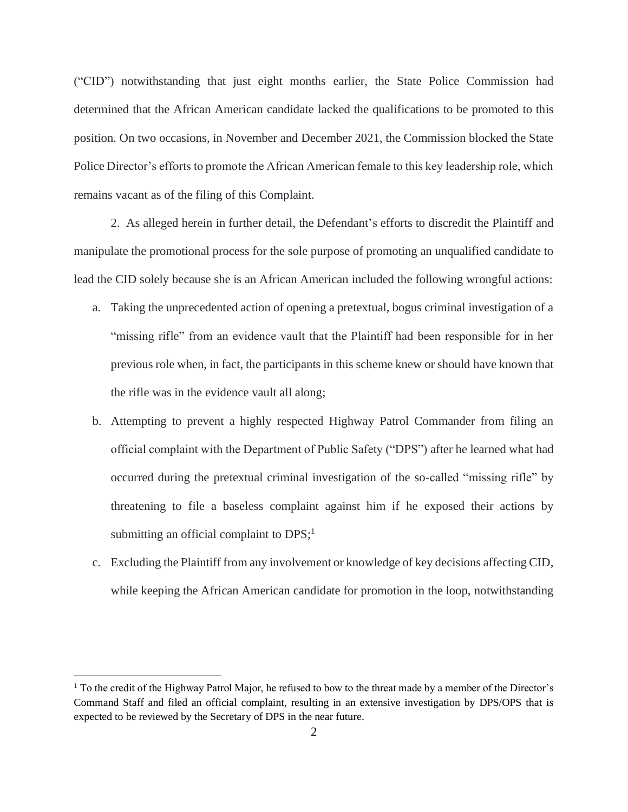("CID") notwithstanding that just eight months earlier, the State Police Commission had determined that the African American candidate lacked the qualifications to be promoted to this position. On two occasions, in November and December 2021, the Commission blocked the State Police Director's efforts to promote the African American female to this key leadership role, which remains vacant as of the filing of this Complaint.

2. As alleged herein in further detail, the Defendant's efforts to discredit the Plaintiff and manipulate the promotional process for the sole purpose of promoting an unqualified candidate to lead the CID solely because she is an African American included the following wrongful actions:

- a. Taking the unprecedented action of opening a pretextual, bogus criminal investigation of a "missing rifle" from an evidence vault that the Plaintiff had been responsible for in her previous role when, in fact, the participants in this scheme knew or should have known that the rifle was in the evidence vault all along;
- b. Attempting to prevent a highly respected Highway Patrol Commander from filing an official complaint with the Department of Public Safety ("DPS") after he learned what had occurred during the pretextual criminal investigation of the so-called "missing rifle" by threatening to file a baseless complaint against him if he exposed their actions by submitting an official complaint to DPS;<sup>1</sup>
- c. Excluding the Plaintiff from any involvement or knowledge of key decisions affecting CID, while keeping the African American candidate for promotion in the loop, notwithstanding

<sup>&</sup>lt;sup>1</sup> To the credit of the Highway Patrol Major, he refused to bow to the threat made by a member of the Director's Command Staff and filed an official complaint, resulting in an extensive investigation by DPS/OPS that is expected to be reviewed by the Secretary of DPS in the near future.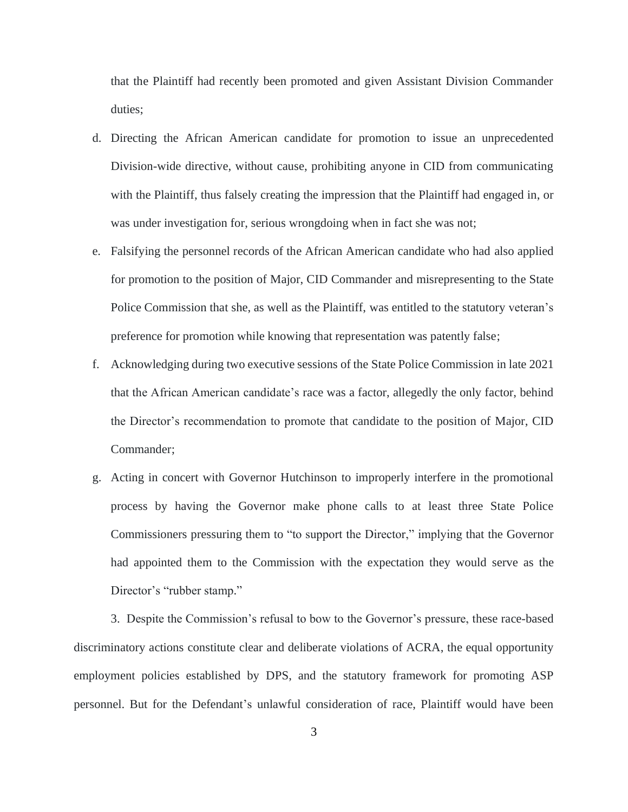that the Plaintiff had recently been promoted and given Assistant Division Commander duties;

- d. Directing the African American candidate for promotion to issue an unprecedented Division-wide directive, without cause, prohibiting anyone in CID from communicating with the Plaintiff, thus falsely creating the impression that the Plaintiff had engaged in, or was under investigation for, serious wrongdoing when in fact she was not;
- e. Falsifying the personnel records of the African American candidate who had also applied for promotion to the position of Major, CID Commander and misrepresenting to the State Police Commission that she, as well as the Plaintiff, was entitled to the statutory veteran's preference for promotion while knowing that representation was patently false;
- f. Acknowledging during two executive sessions of the State Police Commission in late 2021 that the African American candidate's race was a factor, allegedly the only factor, behind the Director's recommendation to promote that candidate to the position of Major, CID Commander;
- g. Acting in concert with Governor Hutchinson to improperly interfere in the promotional process by having the Governor make phone calls to at least three State Police Commissioners pressuring them to "to support the Director," implying that the Governor had appointed them to the Commission with the expectation they would serve as the Director's "rubber stamp."

3. Despite the Commission's refusal to bow to the Governor's pressure, these race-based discriminatory actions constitute clear and deliberate violations of ACRA, the equal opportunity employment policies established by DPS, and the statutory framework for promoting ASP personnel. But for the Defendant's unlawful consideration of race, Plaintiff would have been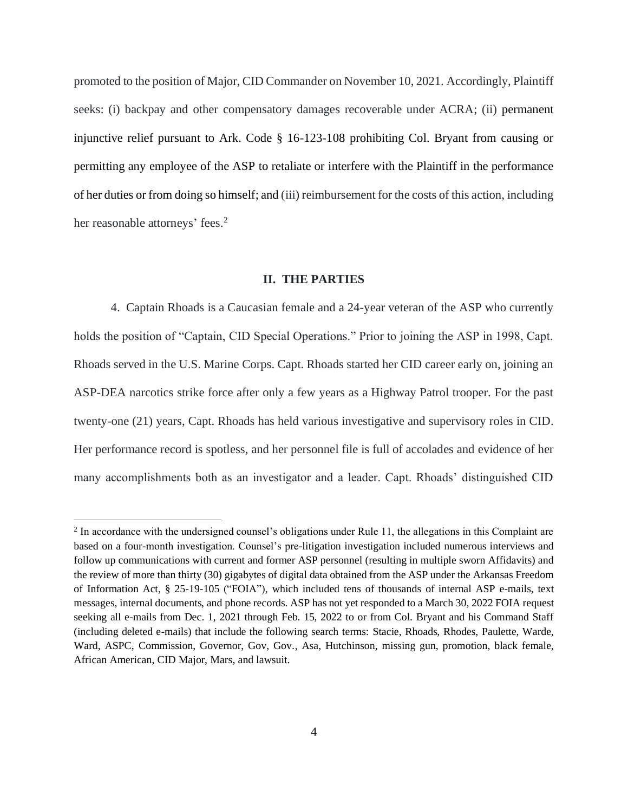promoted to the position of Major, CID Commander on November 10, 2021. Accordingly, Plaintiff seeks: (i) backpay and other compensatory damages recoverable under ACRA; (ii) permanent injunctive relief pursuant to Ark. Code § 16-123-108 prohibiting Col. Bryant from causing or permitting any employee of the ASP to retaliate or interfere with the Plaintiff in the performance of her duties or from doing so himself; and (iii) reimbursement for the costs of this action, including her reasonable attorneys' fees.<sup>2</sup>

#### **II. THE PARTIES**

4. Captain Rhoads is a Caucasian female and a 24-year veteran of the ASP who currently holds the position of "Captain, CID Special Operations." Prior to joining the ASP in 1998, Capt. Rhoads served in the U.S. Marine Corps. Capt. Rhoads started her CID career early on, joining an ASP-DEA narcotics strike force after only a few years as a Highway Patrol trooper. For the past twenty-one (21) years, Capt. Rhoads has held various investigative and supervisory roles in CID. Her performance record is spotless, and her personnel file is full of accolades and evidence of her many accomplishments both as an investigator and a leader. Capt. Rhoads' distinguished CID

<sup>&</sup>lt;sup>2</sup> In accordance with the undersigned counsel's obligations under Rule 11, the allegations in this Complaint are based on a four-month investigation. Counsel's pre-litigation investigation included numerous interviews and follow up communications with current and former ASP personnel (resulting in multiple sworn Affidavits) and the review of more than thirty (30) gigabytes of digital data obtained from the ASP under the Arkansas Freedom of Information Act, § 25-19-105 ("FOIA"), which included tens of thousands of internal ASP e-mails, text messages, internal documents, and phone records. ASP has not yet responded to a March 30, 2022 FOIA request seeking all e-mails from Dec. 1, 2021 through Feb. 15, 2022 to or from Col. Bryant and his Command Staff (including deleted e-mails) that include the following search terms: Stacie, Rhoads, Rhodes, Paulette, Warde, Ward, ASPC, Commission, Governor, Gov, Gov., Asa, Hutchinson, missing gun, promotion, black female, African American, CID Major, Mars, and lawsuit.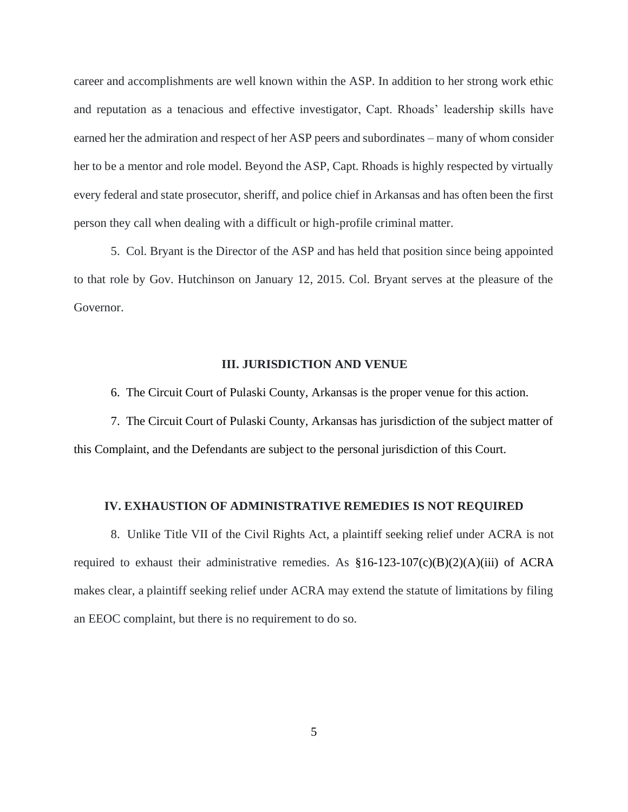career and accomplishments are well known within the ASP. In addition to her strong work ethic and reputation as a tenacious and effective investigator, Capt. Rhoads' leadership skills have earned her the admiration and respect of her ASP peers and subordinates – many of whom consider her to be a mentor and role model. Beyond the ASP, Capt. Rhoads is highly respected by virtually every federal and state prosecutor, sheriff, and police chief in Arkansas and has often been the first person they call when dealing with a difficult or high-profile criminal matter.

5. Col. Bryant is the Director of the ASP and has held that position since being appointed to that role by Gov. Hutchinson on January 12, 2015. Col. Bryant serves at the pleasure of the Governor.

#### **III. JURISDICTION AND VENUE**

6. The Circuit Court of Pulaski County, Arkansas is the proper venue for this action.

7. The Circuit Court of Pulaski County, Arkansas has jurisdiction of the subject matter of this Complaint, and the Defendants are subject to the personal jurisdiction of this Court.

#### **IV. EXHAUSTION OF ADMINISTRATIVE REMEDIES IS NOT REQUIRED**

8. Unlike Title VII of the Civil Rights Act, a plaintiff seeking relief under ACRA is not required to exhaust their administrative remedies. As  $$16-123-107(c)(B)(2)(A)(iii)$  of ACRA makes clear, a plaintiff seeking relief under ACRA may extend the statute of limitations by filing an EEOC complaint, but there is no requirement to do so.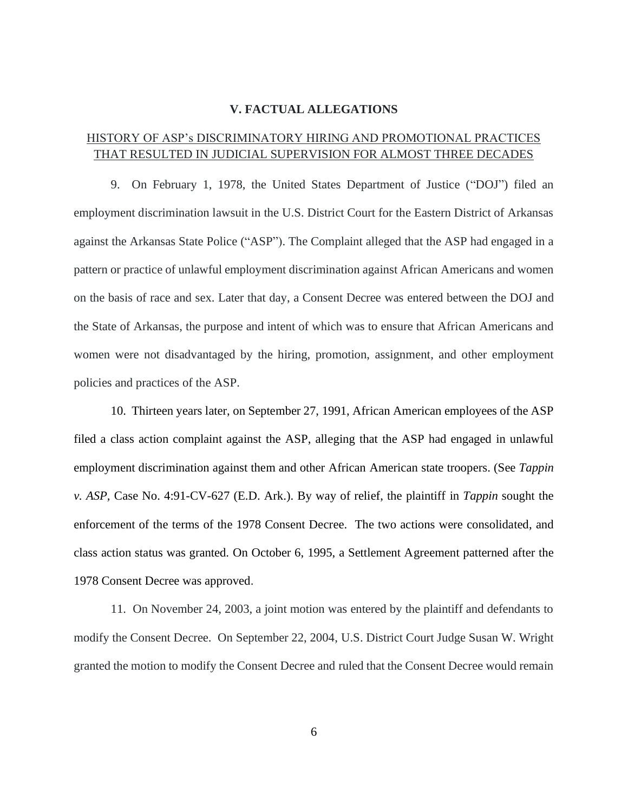#### **V. FACTUAL ALLEGATIONS**

# HISTORY OF ASP's DISCRIMINATORY HIRING AND PROMOTIONAL PRACTICES THAT RESULTED IN JUDICIAL SUPERVISION FOR ALMOST THREE DECADES

9. On February 1, 1978, the United States Department of Justice ("DOJ") filed an employment discrimination lawsuit in the U.S. District Court for the Eastern District of Arkansas against the Arkansas State Police ("ASP"). The Complaint alleged that the ASP had engaged in a pattern or practice of unlawful employment discrimination against African Americans and women on the basis of race and sex. Later that day, a Consent Decree was entered between the DOJ and the State of Arkansas, the purpose and intent of which was to ensure that African Americans and women were not disadvantaged by the hiring, promotion, assignment, and other employment policies and practices of the ASP.

10. Thirteen years later, on September 27, 1991, African American employees of the ASP filed a class action complaint against the ASP, alleging that the ASP had engaged in unlawful employment discrimination against them and other African American state troopers. (See *Tappin v. ASP,* Case No. 4:91-CV-627 (E.D. Ark.). By way of relief, the plaintiff in *Tappin* sought the enforcement of the terms of the 1978 Consent Decree. The two actions were consolidated, and class action status was granted. On October 6, 1995, a Settlement Agreement patterned after the 1978 Consent Decree was approved.

11. On November 24, 2003, a joint motion was entered by the plaintiff and defendants to modify the Consent Decree. On September 22, 2004, U.S. District Court Judge Susan W. Wright granted the motion to modify the Consent Decree and ruled that the Consent Decree would remain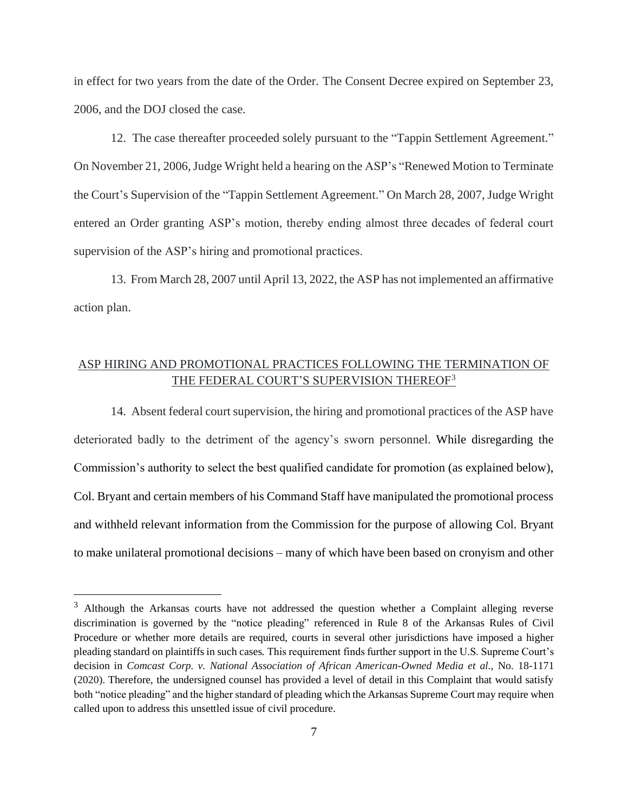in effect for two years from the date of the Order. The Consent Decree expired on September 23, 2006, and the DOJ closed the case.

12. The case thereafter proceeded solely pursuant to the "Tappin Settlement Agreement." On November 21, 2006, Judge Wright held a hearing on the ASP's "Renewed Motion to Terminate the Court's Supervision of the "Tappin Settlement Agreement." On March 28, 2007, Judge Wright entered an Order granting ASP's motion, thereby ending almost three decades of federal court supervision of the ASP's hiring and promotional practices.

13. From March 28, 2007 until April 13, 2022, the ASP has not implemented an affirmative action plan.

# ASP HIRING AND PROMOTIONAL PRACTICES FOLLOWING THE TERMINATION OF THE FEDERAL COURT'S SUPERVISION THEREOF<sup>3</sup>

14. Absent federal court supervision, the hiring and promotional practices of the ASP have deteriorated badly to the detriment of the agency's sworn personnel. While disregarding the Commission's authority to select the best qualified candidate for promotion (as explained below), Col. Bryant and certain members of his Command Staff have manipulated the promotional process and withheld relevant information from the Commission for the purpose of allowing Col. Bryant to make unilateral promotional decisions – many of which have been based on cronyism and other

<sup>&</sup>lt;sup>3</sup> Although the Arkansas courts have not addressed the question whether a Complaint alleging reverse discrimination is governed by the "notice pleading" referenced in Rule 8 of the Arkansas Rules of Civil Procedure or whether more details are required, courts in several other jurisdictions have imposed a higher pleading standard on plaintiffs in such cases. This requirement finds further support in the U.S. Supreme Court's decision in *Comcast Corp. v. National Association of African American-Owned Media et al.*, No. 18-1171 (2020). Therefore, the undersigned counsel has provided a level of detail in this Complaint that would satisfy both "notice pleading" and the higher standard of pleading which the Arkansas Supreme Court may require when called upon to address this unsettled issue of civil procedure.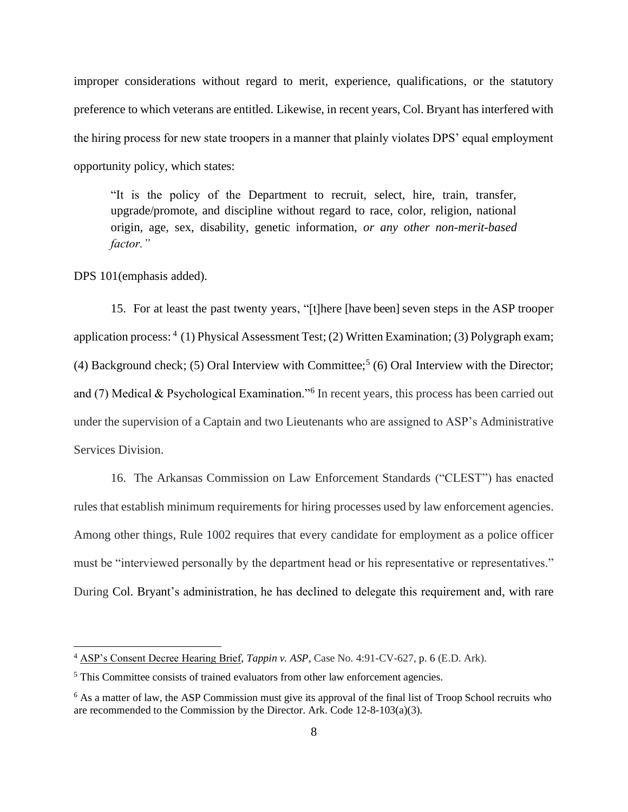improper considerations without regard to merit, experience, qualifications, or the statutory preference to which veterans are entitled. Likewise, in recent years, Col. Bryant has interfered with the hiring process for new state troopers in a manner that plainly violates DPS' equal employment opportunity policy, which states:

"It is the policy of the Department to recruit, select, hire, train, transfer, upgrade/promote, and discipline without regard to race, color, religion, national origin, age, sex, disability, genetic information, *or any other non-merit-based factor."*

DPS 101(emphasis added).

15. For at least the past twenty years, "[t]here [have been] seven steps in the ASP trooper application process: <sup>4</sup> (1) Physical Assessment Test; (2) Written Examination; (3) Polygraph exam; (4) Background check; (5) Oral Interview with Committee;<sup>5</sup> (6) Oral Interview with the Director; and (7) Medical & Psychological Examination."<sup>6</sup> In recent years, this process has been carried out under the supervision of a Captain and two Lieutenants who are assigned to ASP's Administrative Services Division.

16. The Arkansas Commission on Law Enforcement Standards ("CLEST") has enacted rules that establish minimum requirements for hiring processes used by law enforcement agencies. Among other things, Rule 1002 requires that every candidate for employment as a police officer must be "interviewed personally by the department head or his representative or representatives." During Col. Bryant's administration, he has declined to delegate this requirement and, with rare

<sup>4</sup> ASP's Consent Decree Hearing Brief, *Tappin v. ASP*, Case No. 4:91-CV-627, p. 6 (E.D. Ark).

<sup>5</sup> This Committee consists of trained evaluators from other law enforcement agencies.

<sup>&</sup>lt;sup>6</sup> As a matter of law, the ASP Commission must give its approval of the final list of Troop School recruits who are recommended to the Commission by the Director. Ark. Code 12-8-103(a)(3).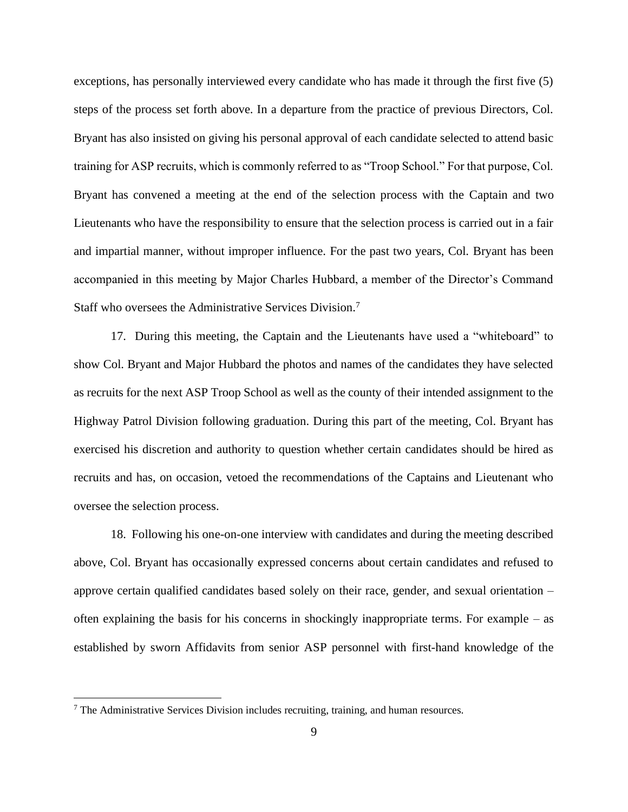exceptions, has personally interviewed every candidate who has made it through the first five (5) steps of the process set forth above. In a departure from the practice of previous Directors, Col. Bryant has also insisted on giving his personal approval of each candidate selected to attend basic training for ASP recruits, which is commonly referred to as "Troop School." For that purpose, Col. Bryant has convened a meeting at the end of the selection process with the Captain and two Lieutenants who have the responsibility to ensure that the selection process is carried out in a fair and impartial manner, without improper influence. For the past two years, Col. Bryant has been accompanied in this meeting by Major Charles Hubbard, a member of the Director's Command Staff who oversees the Administrative Services Division.<sup>7</sup>

17. During this meeting, the Captain and the Lieutenants have used a "whiteboard" to show Col. Bryant and Major Hubbard the photos and names of the candidates they have selected as recruits for the next ASP Troop School as well as the county of their intended assignment to the Highway Patrol Division following graduation. During this part of the meeting, Col. Bryant has exercised his discretion and authority to question whether certain candidates should be hired as recruits and has, on occasion, vetoed the recommendations of the Captains and Lieutenant who oversee the selection process.

18. Following his one-on-one interview with candidates and during the meeting described above, Col. Bryant has occasionally expressed concerns about certain candidates and refused to approve certain qualified candidates based solely on their race, gender, and sexual orientation – often explaining the basis for his concerns in shockingly inappropriate terms. For example – as established by sworn Affidavits from senior ASP personnel with first-hand knowledge of the

<sup>7</sup> The Administrative Services Division includes recruiting, training, and human resources.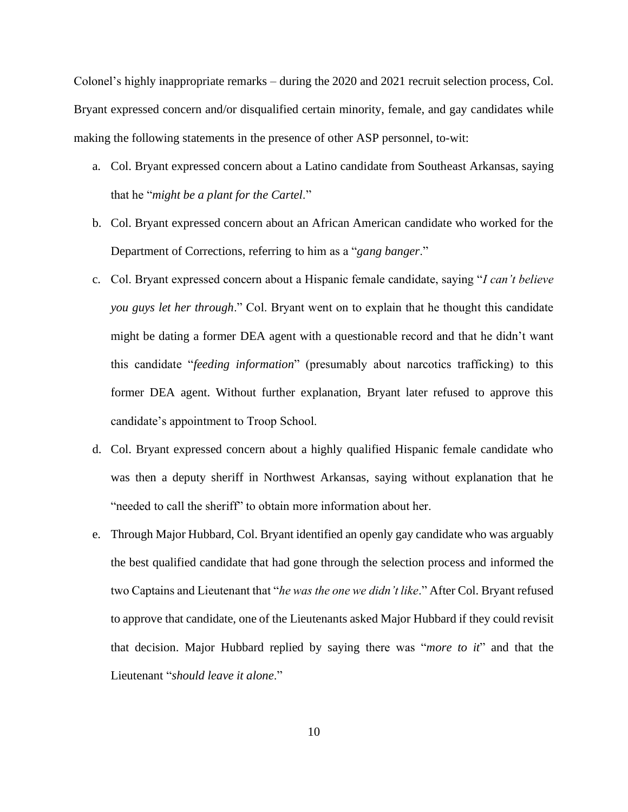Colonel's highly inappropriate remarks – during the 2020 and 2021 recruit selection process, Col. Bryant expressed concern and/or disqualified certain minority, female, and gay candidates while making the following statements in the presence of other ASP personnel, to-wit:

- a. Col. Bryant expressed concern about a Latino candidate from Southeast Arkansas, saying that he "*might be a plant for the Cartel*."
- b. Col. Bryant expressed concern about an African American candidate who worked for the Department of Corrections, referring to him as a "*gang banger*."
- c. Col. Bryant expressed concern about a Hispanic female candidate, saying "*I can't believe you guys let her through*." Col. Bryant went on to explain that he thought this candidate might be dating a former DEA agent with a questionable record and that he didn't want this candidate "*feeding information*" (presumably about narcotics trafficking) to this former DEA agent. Without further explanation, Bryant later refused to approve this candidate's appointment to Troop School.
- d. Col. Bryant expressed concern about a highly qualified Hispanic female candidate who was then a deputy sheriff in Northwest Arkansas, saying without explanation that he "needed to call the sheriff" to obtain more information about her.
- e. Through Major Hubbard, Col. Bryant identified an openly gay candidate who was arguably the best qualified candidate that had gone through the selection process and informed the two Captains and Lieutenant that "*he was the one we didn't like*." After Col. Bryant refused to approve that candidate, one of the Lieutenants asked Major Hubbard if they could revisit that decision. Major Hubbard replied by saying there was "*more to it*" and that the Lieutenant "*should leave it alone*."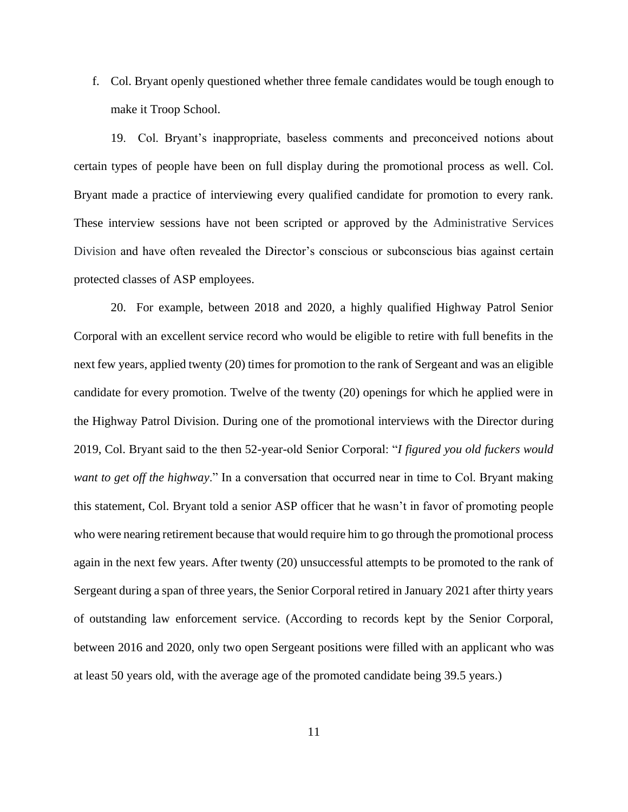f. Col. Bryant openly questioned whether three female candidates would be tough enough to make it Troop School.

19. Col. Bryant's inappropriate, baseless comments and preconceived notions about certain types of people have been on full display during the promotional process as well. Col. Bryant made a practice of interviewing every qualified candidate for promotion to every rank. These interview sessions have not been scripted or approved by the Administrative Services Division and have often revealed the Director's conscious or subconscious bias against certain protected classes of ASP employees.

20. For example, between 2018 and 2020, a highly qualified Highway Patrol Senior Corporal with an excellent service record who would be eligible to retire with full benefits in the next few years, applied twenty (20) times for promotion to the rank of Sergeant and was an eligible candidate for every promotion. Twelve of the twenty (20) openings for which he applied were in the Highway Patrol Division. During one of the promotional interviews with the Director during 2019, Col. Bryant said to the then 52-year-old Senior Corporal: "*I figured you old fuckers would want to get off the highway*." In a conversation that occurred near in time to Col. Bryant making this statement, Col. Bryant told a senior ASP officer that he wasn't in favor of promoting people who were nearing retirement because that would require him to go through the promotional process again in the next few years. After twenty (20) unsuccessful attempts to be promoted to the rank of Sergeant during a span of three years, the Senior Corporal retired in January 2021 after thirty years of outstanding law enforcement service. (According to records kept by the Senior Corporal, between 2016 and 2020, only two open Sergeant positions were filled with an applicant who was at least 50 years old, with the average age of the promoted candidate being 39.5 years.)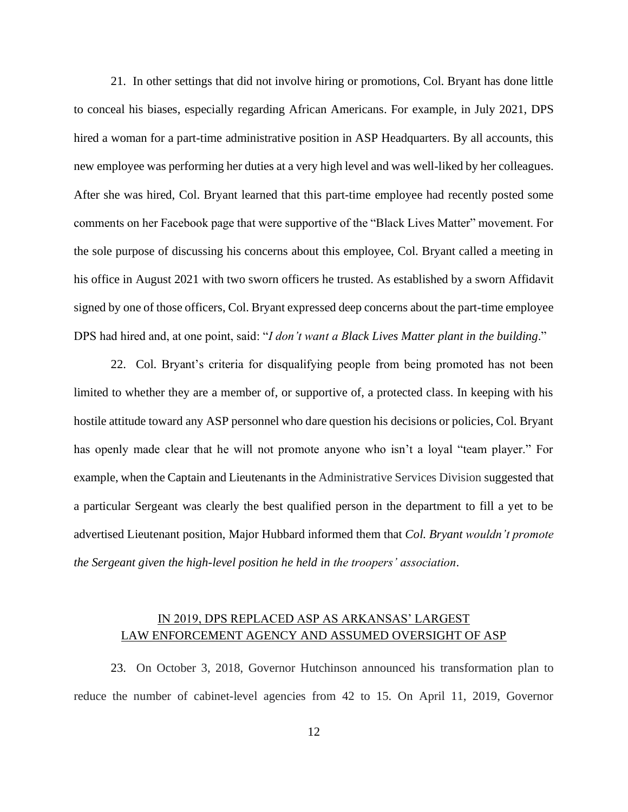21. In other settings that did not involve hiring or promotions, Col. Bryant has done little to conceal his biases, especially regarding African Americans. For example, in July 2021, DPS hired a woman for a part-time administrative position in ASP Headquarters. By all accounts, this new employee was performing her duties at a very high level and was well-liked by her colleagues. After she was hired, Col. Bryant learned that this part-time employee had recently posted some comments on her Facebook page that were supportive of the "Black Lives Matter" movement. For the sole purpose of discussing his concerns about this employee, Col. Bryant called a meeting in his office in August 2021 with two sworn officers he trusted. As established by a sworn Affidavit signed by one of those officers, Col. Bryant expressed deep concerns about the part-time employee DPS had hired and, at one point, said: "*I don't want a Black Lives Matter plant in the building*."

22. Col. Bryant's criteria for disqualifying people from being promoted has not been limited to whether they are a member of, or supportive of, a protected class. In keeping with his hostile attitude toward any ASP personnel who dare question his decisions or policies, Col. Bryant has openly made clear that he will not promote anyone who isn't a loyal "team player." For example, when the Captain and Lieutenants in the Administrative Services Division suggested that a particular Sergeant was clearly the best qualified person in the department to fill a yet to be advertised Lieutenant position, Major Hubbard informed them that *Col. Bryant wouldn't promote the Sergeant given the high-level position he held in the troopers' association*.

# IN 2019, DPS REPLACED ASP AS ARKANSAS' LARGEST LAW ENFORCEMENT AGENCY AND ASSUMED OVERSIGHT OF ASP

23.On October 3, 2018, Governor Hutchinson announced his transformation plan to reduce the number of cabinet-level agencies from 42 to 15. On April 11, 2019, Governor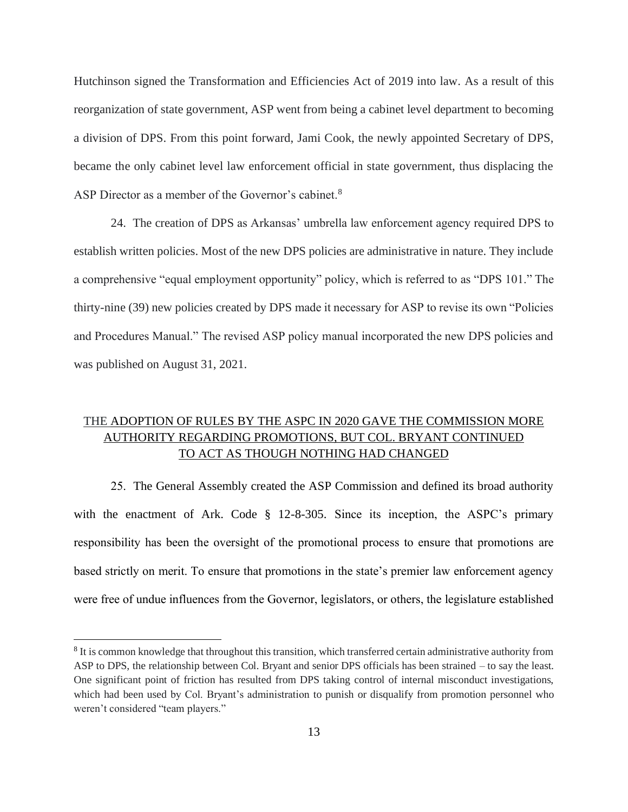Hutchinson signed the Transformation and Efficiencies Act of 2019 into law. As a result of this reorganization of state government, ASP went from being a cabinet level department to becoming a division of DPS. From this point forward, Jami Cook, the newly appointed Secretary of DPS, became the only cabinet level law enforcement official in state government, thus displacing the ASP Director as a member of the Governor's cabinet.<sup>8</sup>

24. The creation of DPS as Arkansas' umbrella law enforcement agency required DPS to establish written policies. Most of the new DPS policies are administrative in nature. They include a comprehensive "equal employment opportunity" policy, which is referred to as "DPS 101." The thirty-nine (39) new policies created by DPS made it necessary for ASP to revise its own "Policies and Procedures Manual." The revised ASP policy manual incorporated the new DPS policies and was published on August 31, 2021.

# THE ADOPTION OF RULES BY THE ASPC IN 2020 GAVE THE COMMISSION MORE AUTHORITY REGARDING PROMOTIONS, BUT COL. BRYANT CONTINUED TO ACT AS THOUGH NOTHING HAD CHANGED

25. The General Assembly created the ASP Commission and defined its broad authority with the enactment of Ark. Code § 12-8-305. Since its inception, the ASPC's primary responsibility has been the oversight of the promotional process to ensure that promotions are based strictly on merit. To ensure that promotions in the state's premier law enforcement agency were free of undue influences from the Governor, legislators, or others, the legislature established

<sup>&</sup>lt;sup>8</sup> It is common knowledge that throughout this transition, which transferred certain administrative authority from ASP to DPS, the relationship between Col. Bryant and senior DPS officials has been strained – to say the least. One significant point of friction has resulted from DPS taking control of internal misconduct investigations, which had been used by Col. Bryant's administration to punish or disqualify from promotion personnel who weren't considered "team players."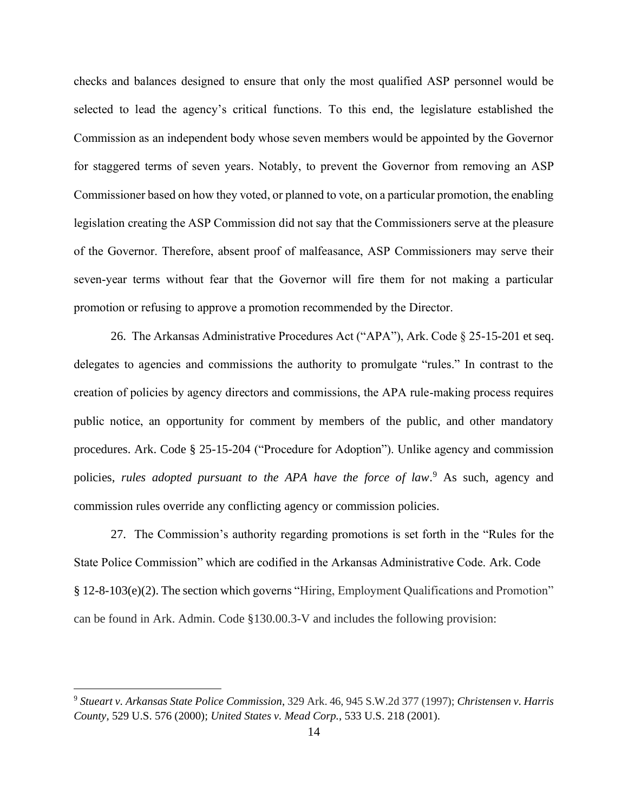checks and balances designed to ensure that only the most qualified ASP personnel would be selected to lead the agency's critical functions. To this end, the legislature established the Commission as an independent body whose seven members would be appointed by the Governor for staggered terms of seven years. Notably, to prevent the Governor from removing an ASP Commissioner based on how they voted, or planned to vote, on a particular promotion, the enabling legislation creating the ASP Commission did not say that the Commissioners serve at the pleasure of the Governor. Therefore, absent proof of malfeasance, ASP Commissioners may serve their seven-year terms without fear that the Governor will fire them for not making a particular promotion or refusing to approve a promotion recommended by the Director.

26. The Arkansas Administrative Procedures Act ("APA"), Ark. Code § 25-15-201 et seq. delegates to agencies and commissions the authority to promulgate "rules." In contrast to the creation of policies by agency directors and commissions, the APA rule-making process requires public notice, an opportunity for comment by members of the public, and other mandatory procedures. Ark. Code § 25-15-204 ("Procedure for Adoption"). Unlike agency and commission policies, *rules adopted pursuant to the APA have the force of law*. <sup>9</sup> As such, agency and commission rules override any conflicting agency or commission policies.

27. The Commission's authority regarding promotions is set forth in the "Rules for the State Police Commission" which are codified in the Arkansas Administrative Code. Ark. Code § 12-8-103(e)(2). The section which governs "Hiring, Employment Qualifications and Promotion" can be found in Ark. Admin. Code §130.00.3-V and includes the following provision:

<sup>9</sup> *Stueart v. Arkansas State Police Commission*, 329 Ark. 46, 945 S.W.2d 377 (1997); *Christensen v. Harris County,* 529 U.S. 576 (2000); *United States v. Mead Corp.*, 533 U.S. 218 (2001).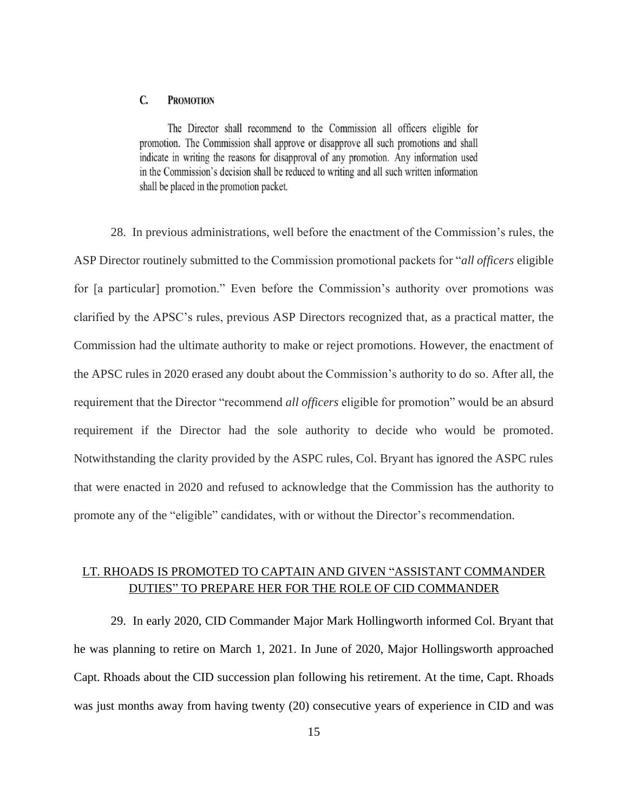#### C. **PROMOTION**

The Director shall recommend to the Commission all officers eligible for promotion. The Commission shall approve or disapprove all such promotions and shall indicate in writing the reasons for disapproval of any promotion. Any information used in the Commission's decision shall be reduced to writing and all such written information shall be placed in the promotion packet.

28. In previous administrations, well before the enactment of the Commission's rules, the ASP Director routinely submitted to the Commission promotional packets for "*all officers* eligible for [a particular] promotion." Even before the Commission's authority over promotions was clarified by the APSC's rules, previous ASP Directors recognized that, as a practical matter, the Commission had the ultimate authority to make or reject promotions. However, the enactment of the APSC rules in 2020 erased any doubt about the Commission's authority to do so. After all, the requirement that the Director "recommend *all officers* eligible for promotion" would be an absurd requirement if the Director had the sole authority to decide who would be promoted. Notwithstanding the clarity provided by the ASPC rules, Col. Bryant has ignored the ASPC rules that were enacted in 2020 and refused to acknowledge that the Commission has the authority to promote any of the "eligible" candidates, with or without the Director's recommendation.

#### LT. RHOADS IS PROMOTED TO CAPTAIN AND GIVEN "ASSISTANT COMMANDER DUTIES" TO PREPARE HER FOR THE ROLE OF CID COMMANDER

29. In early 2020, CID Commander Major Mark Hollingworth informed Col. Bryant that he was planning to retire on March 1, 2021. In June of 2020, Major Hollingsworth approached Capt. Rhoads about the CID succession plan following his retirement. At the time, Capt. Rhoads was just months away from having twenty (20) consecutive years of experience in CID and was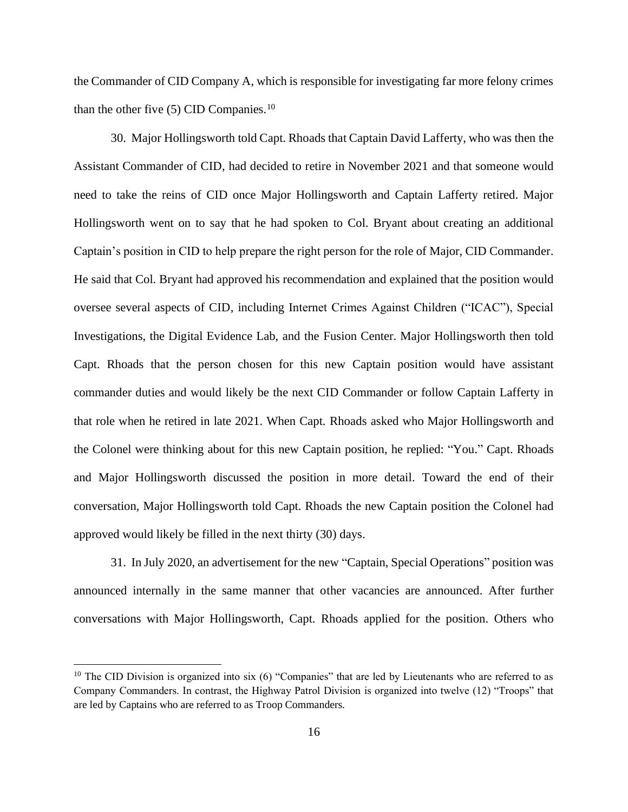the Commander of CID Company A, which is responsible for investigating far more felony crimes than the other five  $(5)$  CID Companies.<sup>10</sup>

30. Major Hollingsworth told Capt. Rhoads that Captain David Lafferty, who was then the Assistant Commander of CID, had decided to retire in November 2021 and that someone would need to take the reins of CID once Major Hollingsworth and Captain Lafferty retired. Major Hollingsworth went on to say that he had spoken to Col. Bryant about creating an additional Captain's position in CID to help prepare the right person for the role of Major, CID Commander. He said that Col. Bryant had approved his recommendation and explained that the position would oversee several aspects of CID, including Internet Crimes Against Children ("ICAC"), Special Investigations, the Digital Evidence Lab, and the Fusion Center. Major Hollingsworth then told Capt. Rhoads that the person chosen for this new Captain position would have assistant commander duties and would likely be the next CID Commander or follow Captain Lafferty in that role when he retired in late 2021. When Capt. Rhoads asked who Major Hollingsworth and the Colonel were thinking about for this new Captain position, he replied: "You." Capt. Rhoads and Major Hollingsworth discussed the position in more detail. Toward the end of their conversation, Major Hollingsworth told Capt. Rhoads the new Captain position the Colonel had approved would likely be filled in the next thirty (30) days.

31. In July 2020, an advertisement for the new "Captain, Special Operations" position was announced internally in the same manner that other vacancies are announced. After further conversations with Major Hollingsworth, Capt. Rhoads applied for the position. Others who

<sup>&</sup>lt;sup>10</sup> The CID Division is organized into six (6) "Companies" that are led by Lieutenants who are referred to as Company Commanders. In contrast, the Highway Patrol Division is organized into twelve (12) "Troops" that are led by Captains who are referred to as Troop Commanders.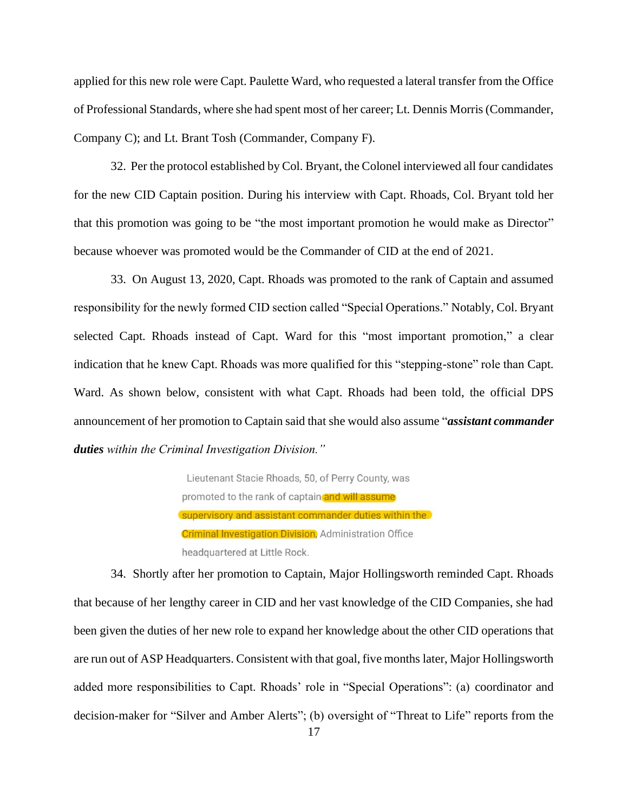applied for this new role were Capt. Paulette Ward, who requested a lateral transfer from the Office of Professional Standards, where she had spent most of her career; Lt. Dennis Morris (Commander, Company C); and Lt. Brant Tosh (Commander, Company F).

32. Per the protocol established by Col. Bryant, the Colonel interviewed all four candidates for the new CID Captain position. During his interview with Capt. Rhoads, Col. Bryant told her that this promotion was going to be "the most important promotion he would make as Director" because whoever was promoted would be the Commander of CID at the end of 2021.

33. On August 13, 2020, Capt. Rhoads was promoted to the rank of Captain and assumed responsibility for the newly formed CID section called "Special Operations." Notably, Col. Bryant selected Capt. Rhoads instead of Capt. Ward for this "most important promotion," a clear indication that he knew Capt. Rhoads was more qualified for this "stepping-stone" role than Capt. Ward. As shown below, consistent with what Capt. Rhoads had been told, the official DPS announcement of her promotion to Captain said that she would also assume "*assistant commander duties within the Criminal Investigation Division."*

> Lieutenant Stacie Rhoads, 50, of Perry County, was promoted to the rank of captain and will assume (supervisory and assistant commander duties within the **Criminal Investigation Division**, Administration Office headquartered at Little Rock.

34. Shortly after her promotion to Captain, Major Hollingsworth reminded Capt. Rhoads that because of her lengthy career in CID and her vast knowledge of the CID Companies, she had been given the duties of her new role to expand her knowledge about the other CID operations that are run out of ASP Headquarters. Consistent with that goal, five months later, Major Hollingsworth added more responsibilities to Capt. Rhoads' role in "Special Operations": (a) coordinator and decision-maker for "Silver and Amber Alerts"; (b) oversight of "Threat to Life" reports from the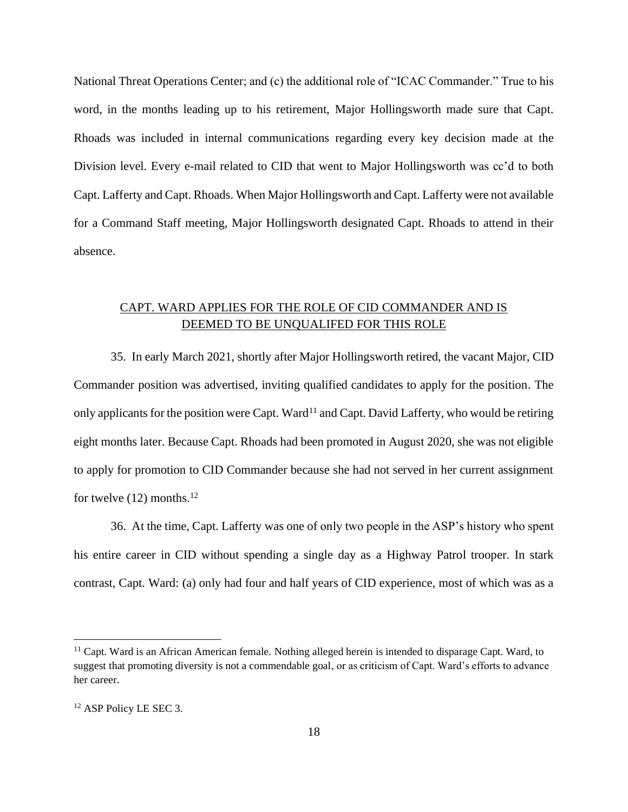National Threat Operations Center; and (c) the additional role of "ICAC Commander." True to his word, in the months leading up to his retirement, Major Hollingsworth made sure that Capt. Rhoads was included in internal communications regarding every key decision made at the Division level. Every e-mail related to CID that went to Major Hollingsworth was cc'd to both Capt. Lafferty and Capt. Rhoads. When Major Hollingsworth and Capt. Lafferty were not available for a Command Staff meeting, Major Hollingsworth designated Capt. Rhoads to attend in their absence.

### CAPT. WARD APPLIES FOR THE ROLE OF CID COMMANDER AND IS DEEMED TO BE UNQUALIFED FOR THIS ROLE

35. In early March 2021, shortly after Major Hollingsworth retired, the vacant Major, CID Commander position was advertised, inviting qualified candidates to apply for the position. The only applicants for the position were Capt. Ward<sup>11</sup> and Capt. David Lafferty, who would be retiring eight months later. Because Capt. Rhoads had been promoted in August 2020, she was not eligible to apply for promotion to CID Commander because she had not served in her current assignment for twelve  $(12)$  months.<sup>12</sup>

36. At the time, Capt. Lafferty was one of only two people in the ASP's history who spent his entire career in CID without spending a single day as a Highway Patrol trooper. In stark contrast, Capt. Ward: (a) only had four and half years of CID experience, most of which was as a

<sup>11</sup> Capt. Ward is an African American female. Nothing alleged herein is intended to disparage Capt. Ward, to suggest that promoting diversity is not a commendable goal, or as criticism of Capt. Ward's efforts to advance her career.

<sup>12</sup> ASP Policy LE SEC 3.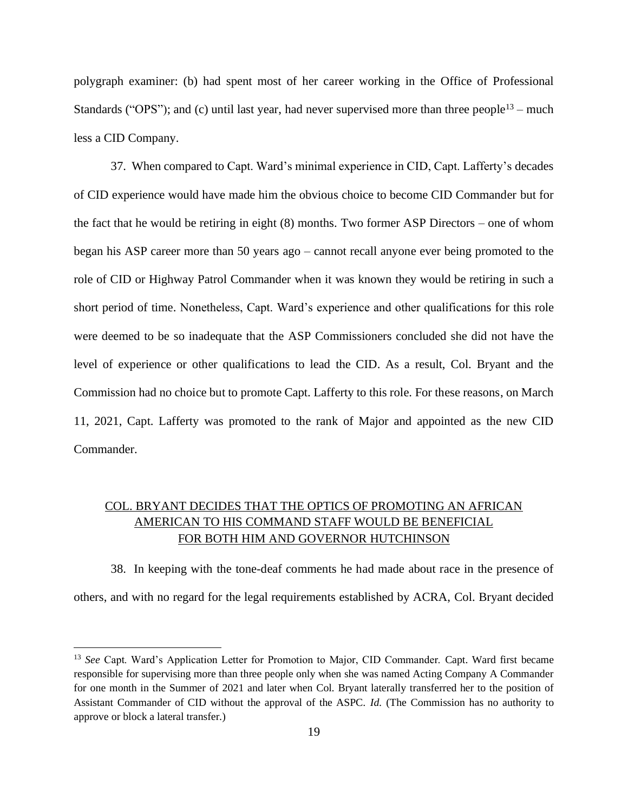polygraph examiner: (b) had spent most of her career working in the Office of Professional Standards ("OPS"); and (c) until last year, had never supervised more than three people<sup>13</sup> – much less a CID Company.

37. When compared to Capt. Ward's minimal experience in CID, Capt. Lafferty's decades of CID experience would have made him the obvious choice to become CID Commander but for the fact that he would be retiring in eight (8) months. Two former ASP Directors – one of whom began his ASP career more than 50 years ago – cannot recall anyone ever being promoted to the role of CID or Highway Patrol Commander when it was known they would be retiring in such a short period of time. Nonetheless, Capt. Ward's experience and other qualifications for this role were deemed to be so inadequate that the ASP Commissioners concluded she did not have the level of experience or other qualifications to lead the CID. As a result, Col. Bryant and the Commission had no choice but to promote Capt. Lafferty to this role. For these reasons, on March 11, 2021, Capt. Lafferty was promoted to the rank of Major and appointed as the new CID Commander.

# COL. BRYANT DECIDES THAT THE OPTICS OF PROMOTING AN AFRICAN AMERICAN TO HIS COMMAND STAFF WOULD BE BENEFICIAL FOR BOTH HIM AND GOVERNOR HUTCHINSON

38. In keeping with the tone-deaf comments he had made about race in the presence of others, and with no regard for the legal requirements established by ACRA, Col. Bryant decided

<sup>13</sup> *See* Capt. Ward's Application Letter for Promotion to Major, CID Commander. Capt. Ward first became responsible for supervising more than three people only when she was named Acting Company A Commander for one month in the Summer of 2021 and later when Col. Bryant laterally transferred her to the position of Assistant Commander of CID without the approval of the ASPC. *Id.* (The Commission has no authority to approve or block a lateral transfer.)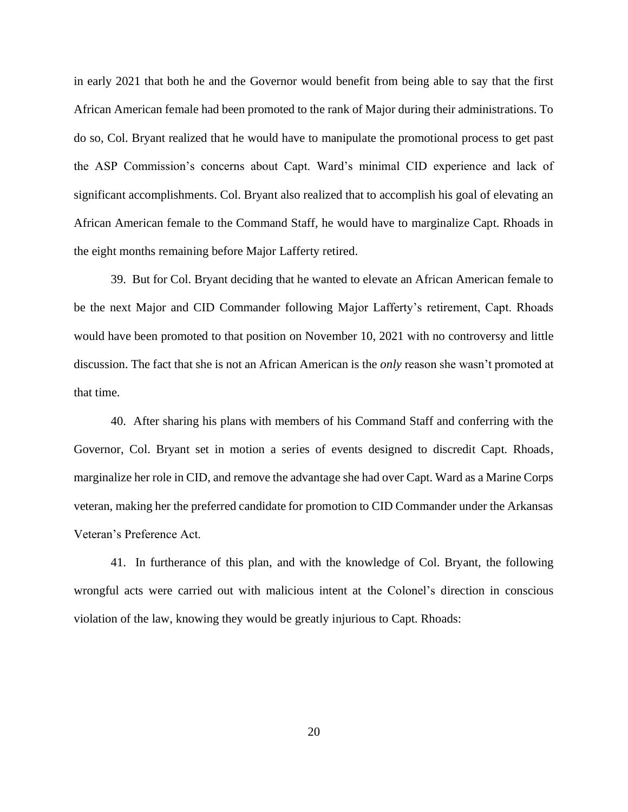in early 2021 that both he and the Governor would benefit from being able to say that the first African American female had been promoted to the rank of Major during their administrations. To do so, Col. Bryant realized that he would have to manipulate the promotional process to get past the ASP Commission's concerns about Capt. Ward's minimal CID experience and lack of significant accomplishments. Col. Bryant also realized that to accomplish his goal of elevating an African American female to the Command Staff, he would have to marginalize Capt. Rhoads in the eight months remaining before Major Lafferty retired.

39. But for Col. Bryant deciding that he wanted to elevate an African American female to be the next Major and CID Commander following Major Lafferty's retirement, Capt. Rhoads would have been promoted to that position on November 10, 2021 with no controversy and little discussion. The fact that she is not an African American is the *only* reason she wasn't promoted at that time.

40. After sharing his plans with members of his Command Staff and conferring with the Governor, Col. Bryant set in motion a series of events designed to discredit Capt. Rhoads, marginalize her role in CID, and remove the advantage she had over Capt. Ward as a Marine Corps veteran, making her the preferred candidate for promotion to CID Commander under the Arkansas Veteran's Preference Act.

41. In furtherance of this plan, and with the knowledge of Col. Bryant, the following wrongful acts were carried out with malicious intent at the Colonel's direction in conscious violation of the law, knowing they would be greatly injurious to Capt. Rhoads: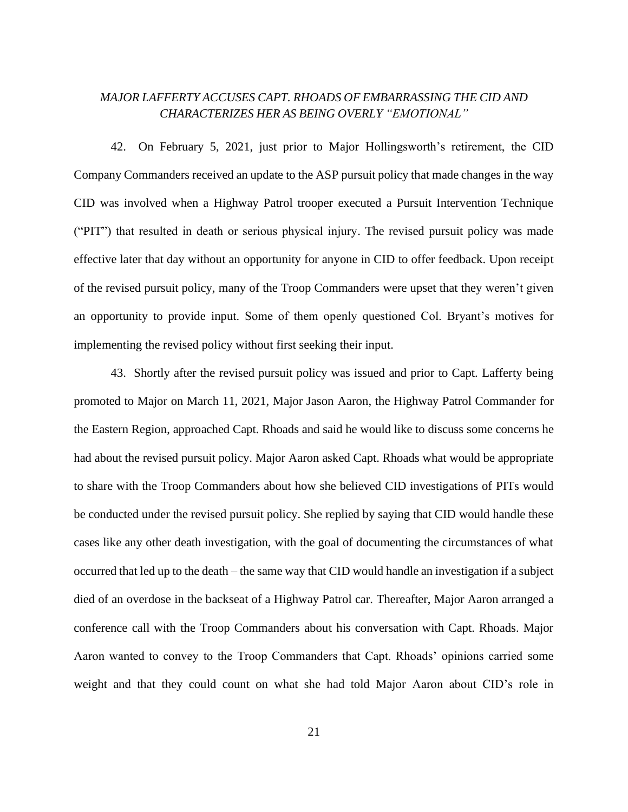# *MAJOR LAFFERTY ACCUSES CAPT. RHOADS OF EMBARRASSING THE CID AND CHARACTERIZES HER AS BEING OVERLY "EMOTIONAL"*

42. On February 5, 2021, just prior to Major Hollingsworth's retirement, the CID Company Commanders received an update to the ASP pursuit policy that made changes in the way CID was involved when a Highway Patrol trooper executed a Pursuit Intervention Technique ("PIT") that resulted in death or serious physical injury. The revised pursuit policy was made effective later that day without an opportunity for anyone in CID to offer feedback. Upon receipt of the revised pursuit policy, many of the Troop Commanders were upset that they weren't given an opportunity to provide input. Some of them openly questioned Col. Bryant's motives for implementing the revised policy without first seeking their input.

43. Shortly after the revised pursuit policy was issued and prior to Capt. Lafferty being promoted to Major on March 11, 2021, Major Jason Aaron, the Highway Patrol Commander for the Eastern Region, approached Capt. Rhoads and said he would like to discuss some concerns he had about the revised pursuit policy. Major Aaron asked Capt. Rhoads what would be appropriate to share with the Troop Commanders about how she believed CID investigations of PITs would be conducted under the revised pursuit policy. She replied by saying that CID would handle these cases like any other death investigation, with the goal of documenting the circumstances of what occurred that led up to the death – the same way that CID would handle an investigation if a subject died of an overdose in the backseat of a Highway Patrol car. Thereafter, Major Aaron arranged a conference call with the Troop Commanders about his conversation with Capt. Rhoads. Major Aaron wanted to convey to the Troop Commanders that Capt. Rhoads' opinions carried some weight and that they could count on what she had told Major Aaron about CID's role in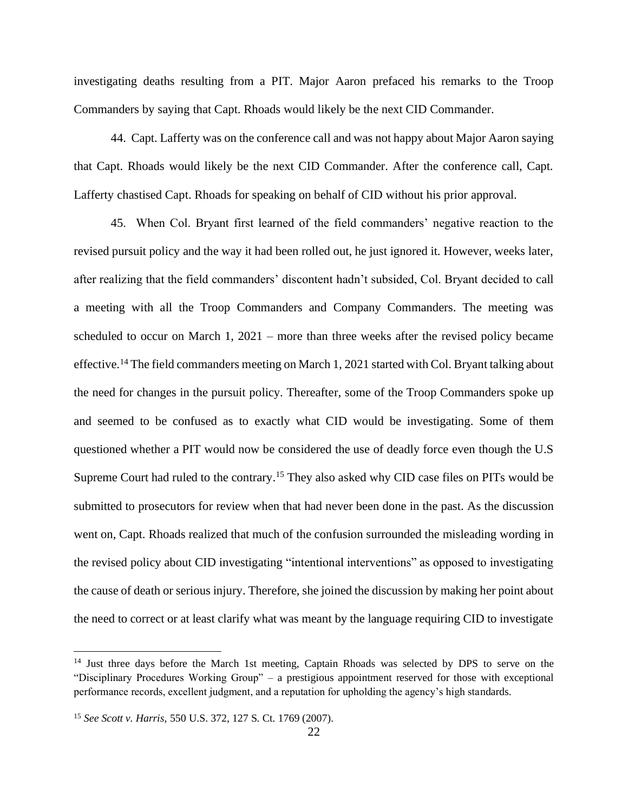investigating deaths resulting from a PIT. Major Aaron prefaced his remarks to the Troop Commanders by saying that Capt. Rhoads would likely be the next CID Commander.

44. Capt. Lafferty was on the conference call and was not happy about Major Aaron saying that Capt. Rhoads would likely be the next CID Commander. After the conference call, Capt. Lafferty chastised Capt. Rhoads for speaking on behalf of CID without his prior approval.

45. When Col. Bryant first learned of the field commanders' negative reaction to the revised pursuit policy and the way it had been rolled out, he just ignored it. However, weeks later, after realizing that the field commanders' discontent hadn't subsided, Col. Bryant decided to call a meeting with all the Troop Commanders and Company Commanders. The meeting was scheduled to occur on March 1, 2021 – more than three weeks after the revised policy became effective.<sup>14</sup> The field commanders meeting on March 1, 2021 started with Col. Bryant talking about the need for changes in the pursuit policy. Thereafter, some of the Troop Commanders spoke up and seemed to be confused as to exactly what CID would be investigating. Some of them questioned whether a PIT would now be considered the use of deadly force even though the U.S Supreme Court had ruled to the contrary.<sup>15</sup> They also asked why CID case files on PITs would be submitted to prosecutors for review when that had never been done in the past. As the discussion went on, Capt. Rhoads realized that much of the confusion surrounded the misleading wording in the revised policy about CID investigating "intentional interventions" as opposed to investigating the cause of death or serious injury. Therefore, she joined the discussion by making her point about the need to correct or at least clarify what was meant by the language requiring CID to investigate

<sup>&</sup>lt;sup>14</sup> Just three days before the March 1st meeting, Captain Rhoads was selected by DPS to serve on the "Disciplinary Procedures Working Group" – a prestigious appointment reserved for those with exceptional performance records, excellent judgment, and a reputation for upholding the agency's high standards.

<sup>15</sup> *See Scott v. Harris*, 550 U.S. 372, 127 S. Ct. 1769 (2007).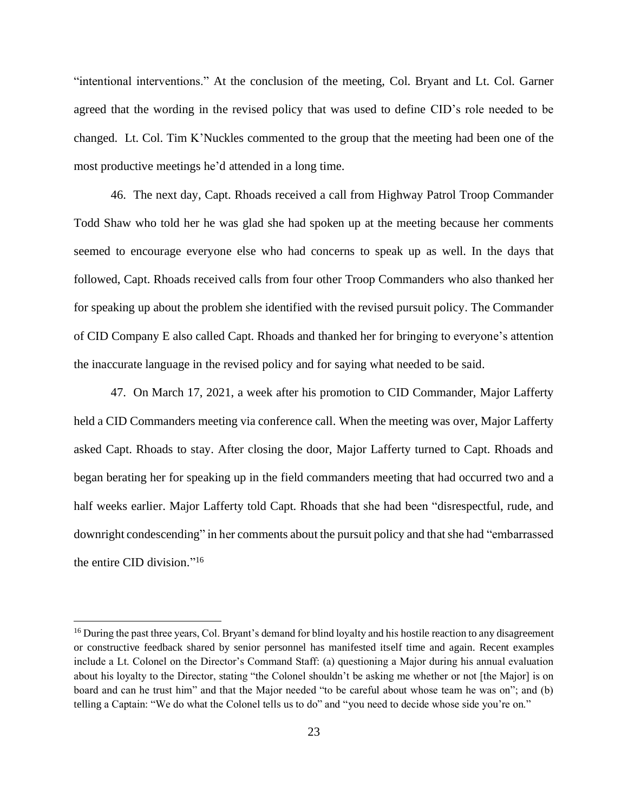"intentional interventions." At the conclusion of the meeting, Col. Bryant and Lt. Col. Garner agreed that the wording in the revised policy that was used to define CID's role needed to be changed. Lt. Col. Tim K'Nuckles commented to the group that the meeting had been one of the most productive meetings he'd attended in a long time.

46. The next day, Capt. Rhoads received a call from Highway Patrol Troop Commander Todd Shaw who told her he was glad she had spoken up at the meeting because her comments seemed to encourage everyone else who had concerns to speak up as well. In the days that followed, Capt. Rhoads received calls from four other Troop Commanders who also thanked her for speaking up about the problem she identified with the revised pursuit policy. The Commander of CID Company E also called Capt. Rhoads and thanked her for bringing to everyone's attention the inaccurate language in the revised policy and for saying what needed to be said.

47. On March 17, 2021, a week after his promotion to CID Commander, Major Lafferty held a CID Commanders meeting via conference call. When the meeting was over, Major Lafferty asked Capt. Rhoads to stay. After closing the door, Major Lafferty turned to Capt. Rhoads and began berating her for speaking up in the field commanders meeting that had occurred two and a half weeks earlier. Major Lafferty told Capt. Rhoads that she had been "disrespectful, rude, and downright condescending" in her comments about the pursuit policy and that she had "embarrassed the entire CID division." 16

<sup>&</sup>lt;sup>16</sup> During the past three years, Col. Bryant's demand for blind loyalty and his hostile reaction to any disagreement or constructive feedback shared by senior personnel has manifested itself time and again. Recent examples include a Lt. Colonel on the Director's Command Staff: (a) questioning a Major during his annual evaluation about his loyalty to the Director, stating "the Colonel shouldn't be asking me whether or not [the Major] is on board and can he trust him" and that the Major needed "to be careful about whose team he was on"; and (b) telling a Captain: "We do what the Colonel tells us to do" and "you need to decide whose side you're on."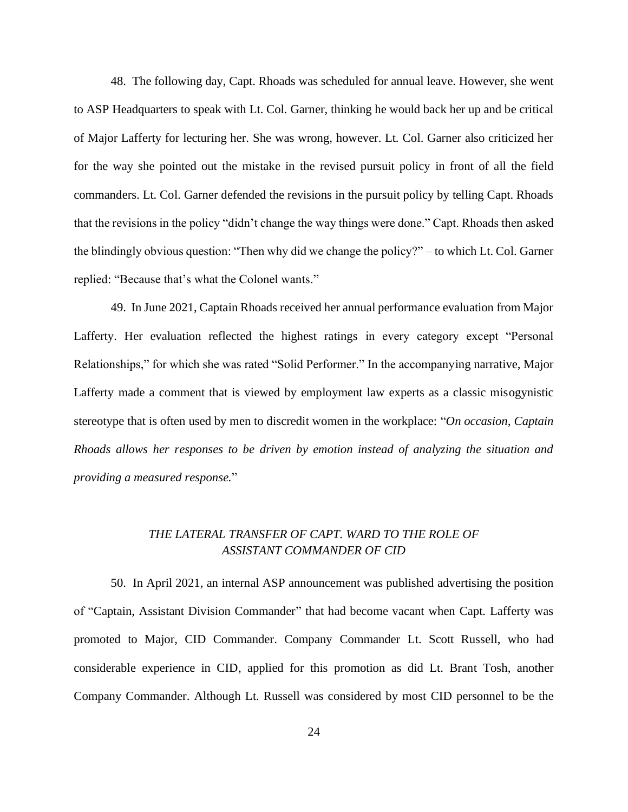48. The following day, Capt. Rhoads was scheduled for annual leave. However, she went to ASP Headquarters to speak with Lt. Col. Garner, thinking he would back her up and be critical of Major Lafferty for lecturing her. She was wrong, however. Lt. Col. Garner also criticized her for the way she pointed out the mistake in the revised pursuit policy in front of all the field commanders. Lt. Col. Garner defended the revisions in the pursuit policy by telling Capt. Rhoads that the revisions in the policy "didn't change the way things were done." Capt. Rhoads then asked the blindingly obvious question: "Then why did we change the policy?" – to which Lt. Col. Garner replied: "Because that's what the Colonel wants."

49. In June 2021, Captain Rhoads received her annual performance evaluation from Major Lafferty. Her evaluation reflected the highest ratings in every category except "Personal Relationships," for which she was rated "Solid Performer." In the accompanying narrative, Major Lafferty made a comment that is viewed by employment law experts as a classic misogynistic stereotype that is often used by men to discredit women in the workplace: "*On occasion, Captain Rhoads allows her responses to be driven by emotion instead of analyzing the situation and providing a measured response.*"

### *THE LATERAL TRANSFER OF CAPT. WARD TO THE ROLE OF ASSISTANT COMMANDER OF CID*

50. In April 2021, an internal ASP announcement was published advertising the position of "Captain, Assistant Division Commander" that had become vacant when Capt. Lafferty was promoted to Major, CID Commander. Company Commander Lt. Scott Russell, who had considerable experience in CID, applied for this promotion as did Lt. Brant Tosh, another Company Commander. Although Lt. Russell was considered by most CID personnel to be the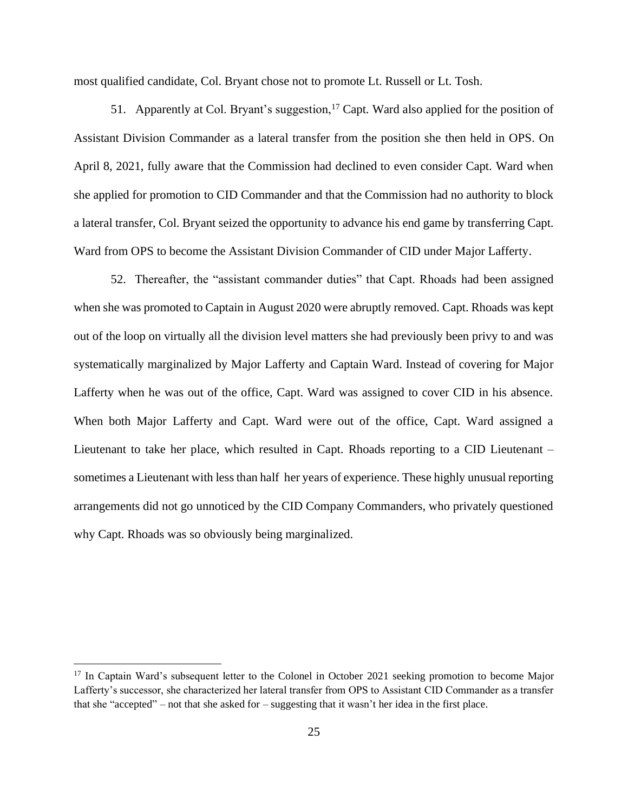most qualified candidate, Col. Bryant chose not to promote Lt. Russell or Lt. Tosh.

51. Apparently at Col. Bryant's suggestion,<sup>17</sup> Capt. Ward also applied for the position of Assistant Division Commander as a lateral transfer from the position she then held in OPS. On April 8, 2021, fully aware that the Commission had declined to even consider Capt. Ward when she applied for promotion to CID Commander and that the Commission had no authority to block a lateral transfer, Col. Bryant seized the opportunity to advance his end game by transferring Capt. Ward from OPS to become the Assistant Division Commander of CID under Major Lafferty.

52. Thereafter, the "assistant commander duties" that Capt. Rhoads had been assigned when she was promoted to Captain in August 2020 were abruptly removed. Capt. Rhoads was kept out of the loop on virtually all the division level matters she had previously been privy to and was systematically marginalized by Major Lafferty and Captain Ward. Instead of covering for Major Lafferty when he was out of the office, Capt. Ward was assigned to cover CID in his absence. When both Major Lafferty and Capt. Ward were out of the office, Capt. Ward assigned a Lieutenant to take her place, which resulted in Capt. Rhoads reporting to a CID Lieutenant – sometimes a Lieutenant with less than half her years of experience. These highly unusual reporting arrangements did not go unnoticed by the CID Company Commanders, who privately questioned why Capt. Rhoads was so obviously being marginalized.

<sup>&</sup>lt;sup>17</sup> In Captain Ward's subsequent letter to the Colonel in October 2021 seeking promotion to become Major Lafferty's successor, she characterized her lateral transfer from OPS to Assistant CID Commander as a transfer that she "accepted" – not that she asked for – suggesting that it wasn't her idea in the first place.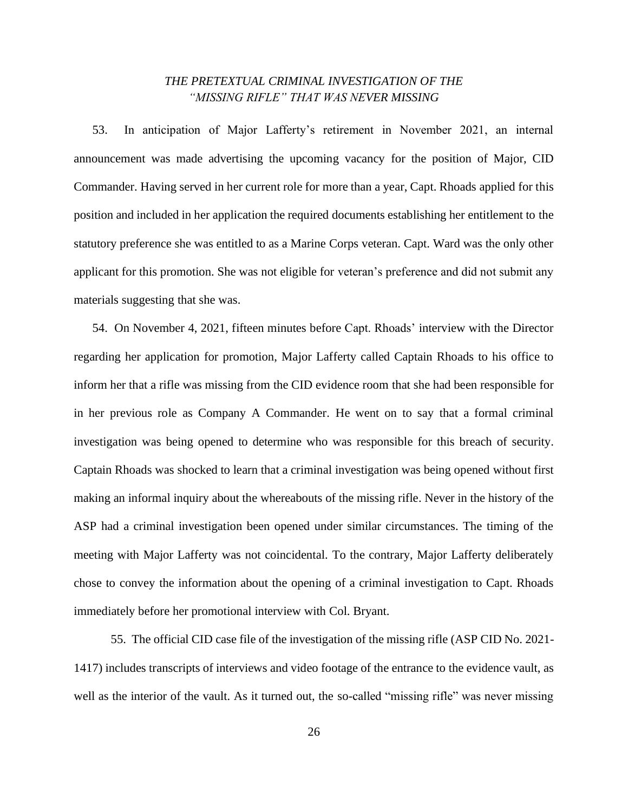### *THE PRETEXTUAL CRIMINAL INVESTIGATION OF THE "MISSING RIFLE" THAT WAS NEVER MISSING*

53. In anticipation of Major Lafferty's retirement in November 2021, an internal announcement was made advertising the upcoming vacancy for the position of Major, CID Commander. Having served in her current role for more than a year, Capt. Rhoads applied for this position and included in her application the required documents establishing her entitlement to the statutory preference she was entitled to as a Marine Corps veteran. Capt. Ward was the only other applicant for this promotion. She was not eligible for veteran's preference and did not submit any materials suggesting that she was.

54. On November 4, 2021, fifteen minutes before Capt. Rhoads' interview with the Director regarding her application for promotion, Major Lafferty called Captain Rhoads to his office to inform her that a rifle was missing from the CID evidence room that she had been responsible for in her previous role as Company A Commander. He went on to say that a formal criminal investigation was being opened to determine who was responsible for this breach of security. Captain Rhoads was shocked to learn that a criminal investigation was being opened without first making an informal inquiry about the whereabouts of the missing rifle. Never in the history of the ASP had a criminal investigation been opened under similar circumstances. The timing of the meeting with Major Lafferty was not coincidental. To the contrary, Major Lafferty deliberately chose to convey the information about the opening of a criminal investigation to Capt. Rhoads immediately before her promotional interview with Col. Bryant.

55. The official CID case file of the investigation of the missing rifle (ASP CID No. 2021- 1417) includes transcripts of interviews and video footage of the entrance to the evidence vault, as well as the interior of the vault. As it turned out, the so-called "missing rifle" was never missing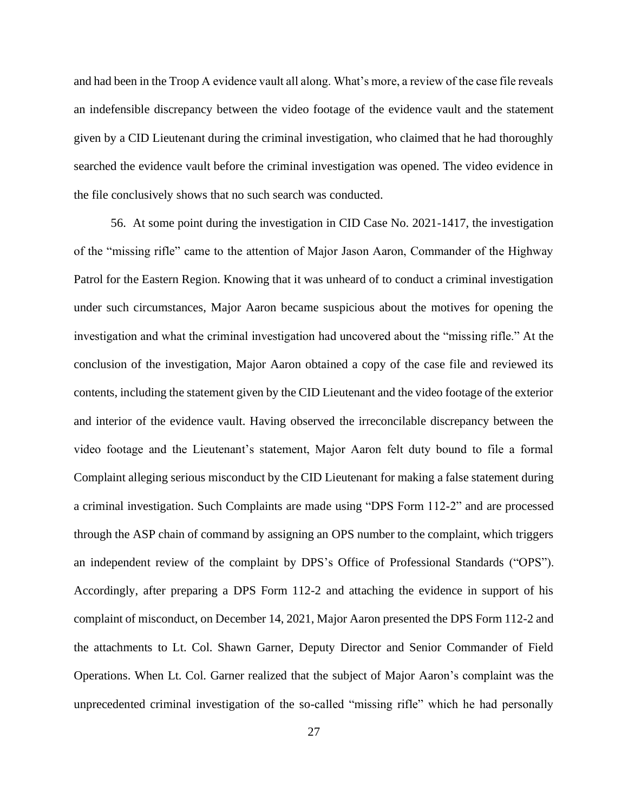and had been in the Troop A evidence vault all along. What's more, a review of the case file reveals an indefensible discrepancy between the video footage of the evidence vault and the statement given by a CID Lieutenant during the criminal investigation, who claimed that he had thoroughly searched the evidence vault before the criminal investigation was opened. The video evidence in the file conclusively shows that no such search was conducted.

56. At some point during the investigation in CID Case No. 2021-1417, the investigation of the "missing rifle" came to the attention of Major Jason Aaron, Commander of the Highway Patrol for the Eastern Region. Knowing that it was unheard of to conduct a criminal investigation under such circumstances, Major Aaron became suspicious about the motives for opening the investigation and what the criminal investigation had uncovered about the "missing rifle." At the conclusion of the investigation, Major Aaron obtained a copy of the case file and reviewed its contents, including the statement given by the CID Lieutenant and the video footage of the exterior and interior of the evidence vault. Having observed the irreconcilable discrepancy between the video footage and the Lieutenant's statement, Major Aaron felt duty bound to file a formal Complaint alleging serious misconduct by the CID Lieutenant for making a false statement during a criminal investigation. Such Complaints are made using "DPS Form 112-2" and are processed through the ASP chain of command by assigning an OPS number to the complaint, which triggers an independent review of the complaint by DPS's Office of Professional Standards ("OPS"). Accordingly, after preparing a DPS Form 112-2 and attaching the evidence in support of his complaint of misconduct, on December 14, 2021, Major Aaron presented the DPS Form 112-2 and the attachments to Lt. Col. Shawn Garner, Deputy Director and Senior Commander of Field Operations. When Lt. Col. Garner realized that the subject of Major Aaron's complaint was the unprecedented criminal investigation of the so-called "missing rifle" which he had personally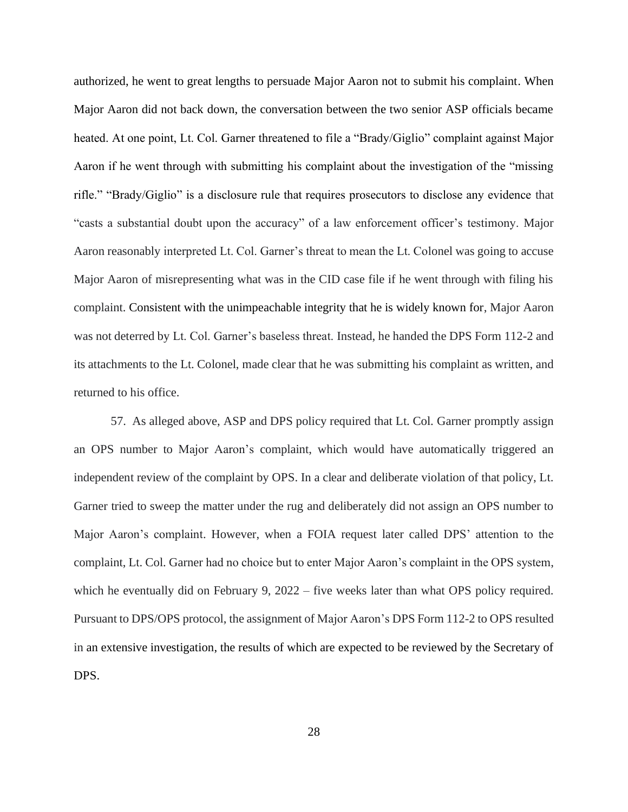authorized, he went to great lengths to persuade Major Aaron not to submit his complaint. When Major Aaron did not back down, the conversation between the two senior ASP officials became heated. At one point, Lt. Col. Garner threatened to file a "Brady/Giglio" complaint against Major Aaron if he went through with submitting his complaint about the investigation of the "missing rifle." "Brady/Giglio" is a disclosure rule that requires prosecutors to disclose any evidence that "casts a substantial doubt upon the accuracy" of a law enforcement officer's testimony. Major Aaron reasonably interpreted Lt. Col. Garner's threat to mean the Lt. Colonel was going to accuse Major Aaron of misrepresenting what was in the CID case file if he went through with filing his complaint. Consistent with the unimpeachable integrity that he is widely known for, Major Aaron was not deterred by Lt. Col. Garner's baseless threat. Instead, he handed the DPS Form 112-2 and its attachments to the Lt. Colonel, made clear that he was submitting his complaint as written, and returned to his office.

57. As alleged above, ASP and DPS policy required that Lt. Col. Garner promptly assign an OPS number to Major Aaron's complaint, which would have automatically triggered an independent review of the complaint by OPS. In a clear and deliberate violation of that policy, Lt. Garner tried to sweep the matter under the rug and deliberately did not assign an OPS number to Major Aaron's complaint. However, when a FOIA request later called DPS' attention to the complaint, Lt. Col. Garner had no choice but to enter Major Aaron's complaint in the OPS system, which he eventually did on February 9, 2022 – five weeks later than what OPS policy required. Pursuant to DPS/OPS protocol, the assignment of Major Aaron's DPS Form 112-2 to OPS resulted in an extensive investigation, the results of which are expected to be reviewed by the Secretary of DPS.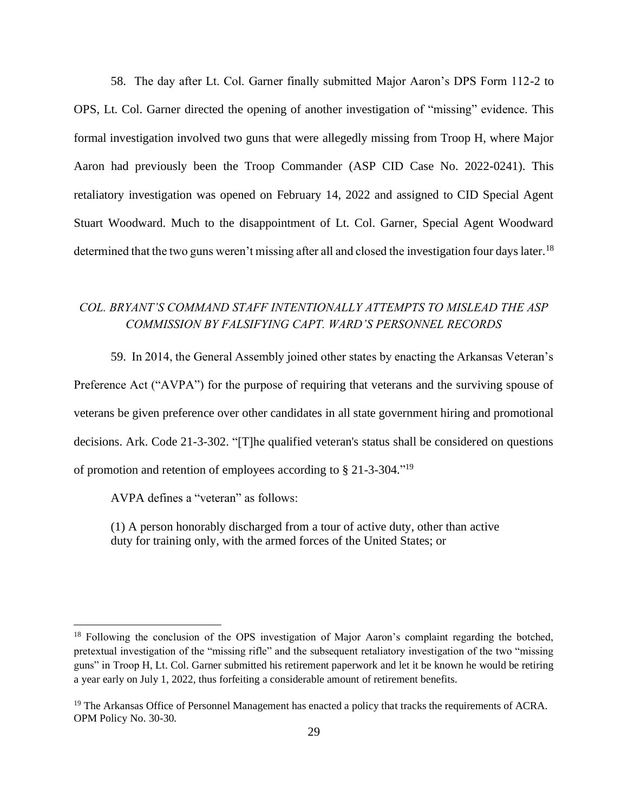58. The day after Lt. Col. Garner finally submitted Major Aaron's DPS Form 112-2 to OPS, Lt. Col. Garner directed the opening of another investigation of "missing" evidence. This formal investigation involved two guns that were allegedly missing from Troop H, where Major Aaron had previously been the Troop Commander (ASP CID Case No. 2022-0241). This retaliatory investigation was opened on February 14, 2022 and assigned to CID Special Agent Stuart Woodward. Much to the disappointment of Lt. Col. Garner, Special Agent Woodward determined that the two guns weren't missing after all and closed the investigation four days later.<sup>18</sup>

# *COL. BRYANT'S COMMAND STAFF INTENTIONALLY ATTEMPTS TO MISLEAD THE ASP COMMISSION BY FALSIFYING CAPT. WARD'S PERSONNEL RECORDS*

59. In 2014, the General Assembly joined other states by enacting the Arkansas Veteran's Preference Act ("AVPA") for the purpose of requiring that veterans and the surviving spouse of veterans be given preference over other candidates in all state government hiring and promotional decisions. Ark. Code 21-3-302. "[T]he qualified veteran's status shall be considered on questions of promotion and retention of employees according to § 21-3-304." 19

AVPA defines a "veteran" as follows:

(1) A person honorably discharged from a tour of active duty, other than active duty for training only, with the armed forces of the United States; or

<sup>&</sup>lt;sup>18</sup> Following the conclusion of the OPS investigation of Major Aaron's complaint regarding the botched, pretextual investigation of the "missing rifle" and the subsequent retaliatory investigation of the two "missing guns" in Troop H, Lt. Col. Garner submitted his retirement paperwork and let it be known he would be retiring a year early on July 1, 2022, thus forfeiting a considerable amount of retirement benefits.

<sup>&</sup>lt;sup>19</sup> The Arkansas Office of Personnel Management has enacted a policy that tracks the requirements of ACRA. OPM Policy No. 30-30.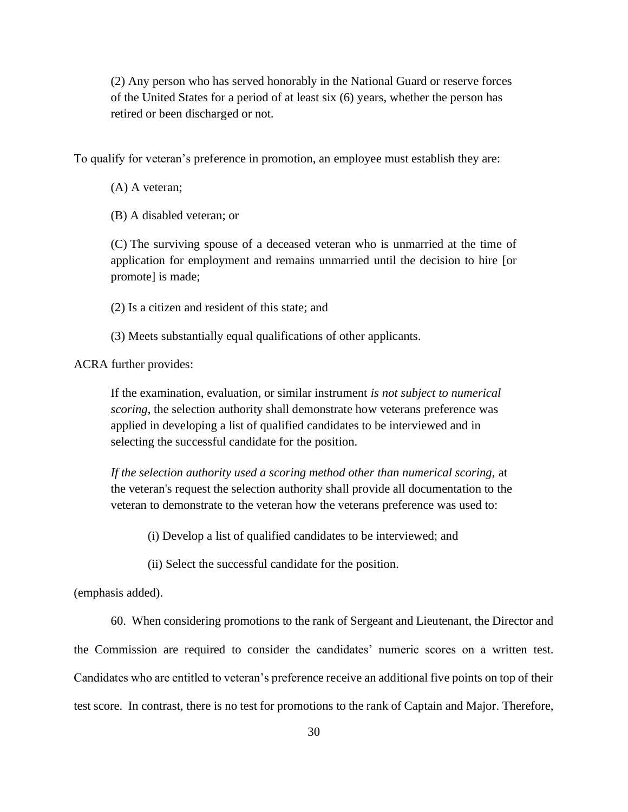(2) Any person who has served honorably in the National Guard or reserve forces of the United States for a period of at least six (6) years, whether the person has retired or been discharged or not.

To qualify for veteran's preference in promotion, an employee must establish they are:

(A) A veteran;

(B) A disabled veteran; or

(C) The surviving spouse of a deceased veteran who is unmarried at the time of application for employment and remains unmarried until the decision to hire [or promote] is made;

(2) Is a citizen and resident of this state; and

(3) Meets substantially equal qualifications of other applicants.

ACRA further provides:

If the examination, evaluation, or similar instrument *is not subject to numerical scoring*, the selection authority shall demonstrate how veterans preference was applied in developing a list of qualified candidates to be interviewed and in selecting the successful candidate for the position.

*If the selection authority used a scoring method other than numerical scoring,* at the veteran's request the selection authority shall provide all documentation to the veteran to demonstrate to the veteran how the veterans preference was used to:

(i) Develop a list of qualified candidates to be interviewed; and

(ii) Select the successful candidate for the position.

(emphasis added).

60. When considering promotions to the rank of Sergeant and Lieutenant, the Director and the Commission are required to consider the candidates' numeric scores on a written test. Candidates who are entitled to veteran's preference receive an additional five points on top of their test score. In contrast, there is no test for promotions to the rank of Captain and Major. Therefore,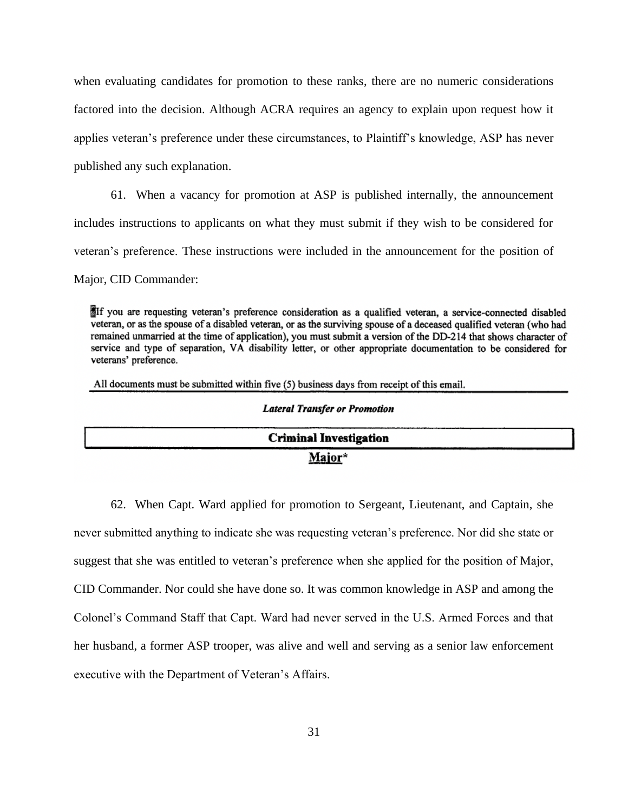when evaluating candidates for promotion to these ranks, there are no numeric considerations factored into the decision. Although ACRA requires an agency to explain upon request how it applies veteran's preference under these circumstances, to Plaintiff's knowledge, ASP has never published any such explanation.

61. When a vacancy for promotion at ASP is published internally, the announcement includes instructions to applicants on what they must submit if they wish to be considered for veteran's preference. These instructions were included in the announcement for the position of

Major, CID Commander:

If you are requesting veteran's preference consideration as a qualified veteran, a service-connected disabled veteran, or as the spouse of a disabled veteran, or as the surviving spouse of a deceased qualified veteran (who had remained unmarried at the time of application), you must submit a version of the DD-214 that shows character of service and type of separation, VA disability letter, or other appropriate documentation to be considered for veterans' preference.

All documents must be submitted within five (5) business days from receipt of this email.

#### **Lateral Transfer or Promotion**

| <b>Criminal Investigation</b> |  |
|-------------------------------|--|
| Major*                        |  |

62. When Capt. Ward applied for promotion to Sergeant, Lieutenant, and Captain, she never submitted anything to indicate she was requesting veteran's preference. Nor did she state or suggest that she was entitled to veteran's preference when she applied for the position of Major, CID Commander. Nor could she have done so. It was common knowledge in ASP and among the Colonel's Command Staff that Capt. Ward had never served in the U.S. Armed Forces and that her husband, a former ASP trooper, was alive and well and serving as a senior law enforcement executive with the Department of Veteran's Affairs.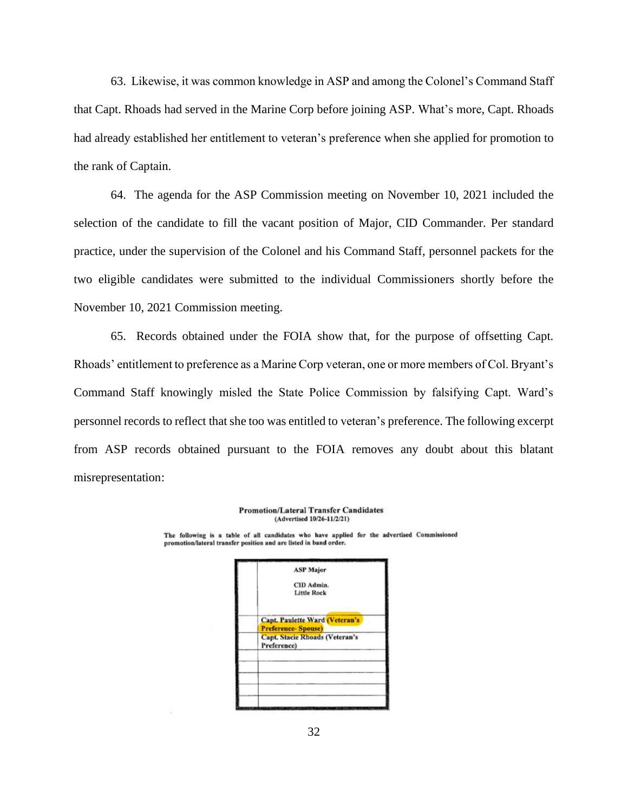63. Likewise, it was common knowledge in ASP and among the Colonel's Command Staff that Capt. Rhoads had served in the Marine Corp before joining ASP. What's more, Capt. Rhoads had already established her entitlement to veteran's preference when she applied for promotion to the rank of Captain.

64. The agenda for the ASP Commission meeting on November 10, 2021 included the selection of the candidate to fill the vacant position of Major, CID Commander. Per standard practice, under the supervision of the Colonel and his Command Staff, personnel packets for the two eligible candidates were submitted to the individual Commissioners shortly before the November 10, 2021 Commission meeting.

65. Records obtained under the FOIA show that, for the purpose of offsetting Capt. Rhoads' entitlement to preference as a Marine Corp veteran, one or more members of Col. Bryant's Command Staff knowingly misled the State Police Commission by falsifying Capt. Ward's personnel records to reflect that she too was entitled to veteran's preference. The following excerpt from ASP records obtained pursuant to the FOIA removes any doubt about this blatant misrepresentation:

> **Promotion/Lateral Transfer Candidates** (Advertised 10/26-11/2/21)

The following is a table of all candidates who have applied for the advertised Commissioned promotion/lateral transfer position and are listed in band order.

|                           | <b>ASP Major</b>                      |
|---------------------------|---------------------------------------|
|                           | CID Admin.                            |
|                           | <b>Little Rock</b>                    |
|                           | <b>Capt. Paulette Ward (Veteran's</b> |
| <b>Preference-Spouse)</b> |                                       |
| Preference)               | <b>Capt. Stacie Rhoads (Veteran's</b> |
|                           |                                       |
|                           |                                       |
|                           |                                       |
|                           |                                       |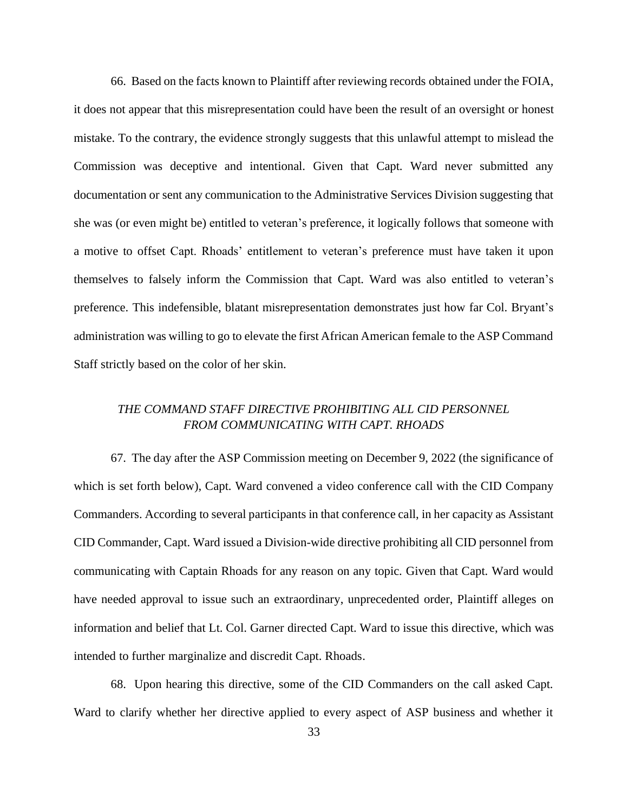66. Based on the facts known to Plaintiff after reviewing records obtained under the FOIA, it does not appear that this misrepresentation could have been the result of an oversight or honest mistake. To the contrary, the evidence strongly suggests that this unlawful attempt to mislead the Commission was deceptive and intentional. Given that Capt. Ward never submitted any documentation or sent any communication to the Administrative Services Division suggesting that she was (or even might be) entitled to veteran's preference, it logically follows that someone with a motive to offset Capt. Rhoads' entitlement to veteran's preference must have taken it upon themselves to falsely inform the Commission that Capt. Ward was also entitled to veteran's preference. This indefensible, blatant misrepresentation demonstrates just how far Col. Bryant's administration was willing to go to elevate the first African American female to the ASP Command Staff strictly based on the color of her skin.

# *THE COMMAND STAFF DIRECTIVE PROHIBITING ALL CID PERSONNEL FROM COMMUNICATING WITH CAPT. RHOADS*

67. The day after the ASP Commission meeting on December 9, 2022 (the significance of which is set forth below), Capt. Ward convened a video conference call with the CID Company Commanders. According to several participants in that conference call, in her capacity as Assistant CID Commander, Capt. Ward issued a Division-wide directive prohibiting all CID personnel from communicating with Captain Rhoads for any reason on any topic. Given that Capt. Ward would have needed approval to issue such an extraordinary, unprecedented order, Plaintiff alleges on information and belief that Lt. Col. Garner directed Capt. Ward to issue this directive, which was intended to further marginalize and discredit Capt. Rhoads.

68. Upon hearing this directive, some of the CID Commanders on the call asked Capt. Ward to clarify whether her directive applied to every aspect of ASP business and whether it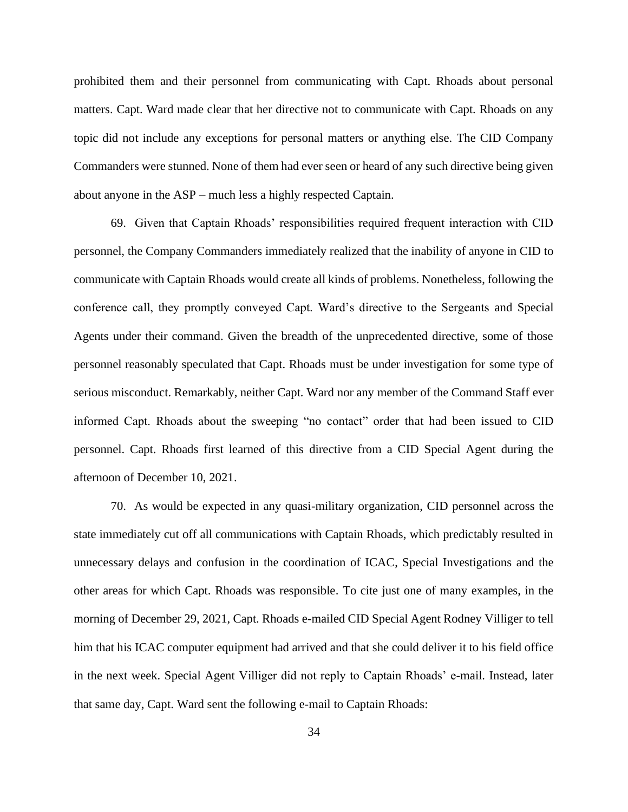prohibited them and their personnel from communicating with Capt. Rhoads about personal matters. Capt. Ward made clear that her directive not to communicate with Capt. Rhoads on any topic did not include any exceptions for personal matters or anything else. The CID Company Commanders were stunned. None of them had ever seen or heard of any such directive being given about anyone in the ASP – much less a highly respected Captain.

69. Given that Captain Rhoads' responsibilities required frequent interaction with CID personnel, the Company Commanders immediately realized that the inability of anyone in CID to communicate with Captain Rhoads would create all kinds of problems. Nonetheless, following the conference call, they promptly conveyed Capt. Ward's directive to the Sergeants and Special Agents under their command. Given the breadth of the unprecedented directive, some of those personnel reasonably speculated that Capt. Rhoads must be under investigation for some type of serious misconduct. Remarkably, neither Capt. Ward nor any member of the Command Staff ever informed Capt. Rhoads about the sweeping "no contact" order that had been issued to CID personnel. Capt. Rhoads first learned of this directive from a CID Special Agent during the afternoon of December 10, 2021.

70. As would be expected in any quasi-military organization, CID personnel across the state immediately cut off all communications with Captain Rhoads, which predictably resulted in unnecessary delays and confusion in the coordination of ICAC, Special Investigations and the other areas for which Capt. Rhoads was responsible. To cite just one of many examples, in the morning of December 29, 2021, Capt. Rhoads e-mailed CID Special Agent Rodney Villiger to tell him that his ICAC computer equipment had arrived and that she could deliver it to his field office in the next week. Special Agent Villiger did not reply to Captain Rhoads' e-mail. Instead, later that same day, Capt. Ward sent the following e-mail to Captain Rhoads: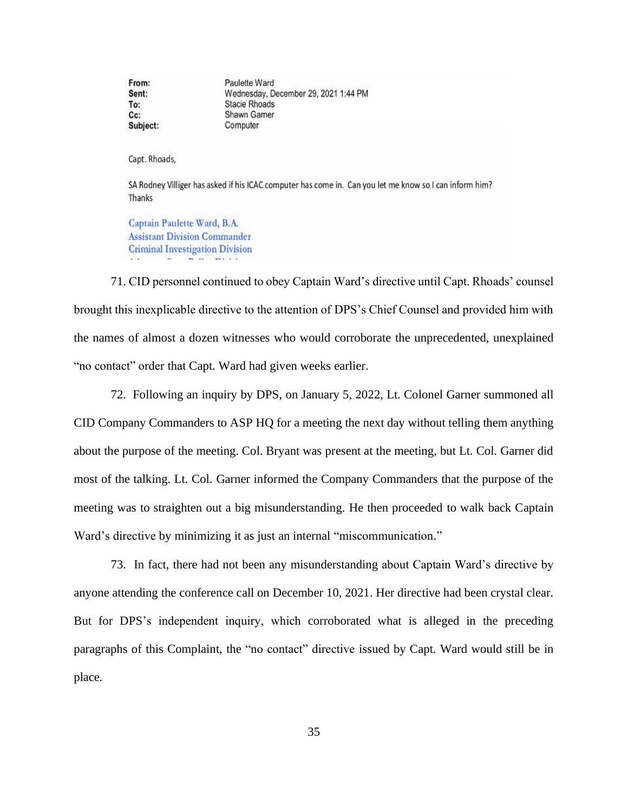From: Paulette Ward Sent: Wednesday, December 29, 2021 1:44 PM To: **Stacie Rhoads** Shawn Gamer Cc: Computer Subject:

Capt. Rhoads,

SA Rodney Villiger has asked if his ICAC computer has come in. Can you let me know so I can inform him? Thanks

Captain Paulette Ward, B.A. **Assistant Division Commander Criminal Investigation Division** 

71. CID personnel continued to obey Captain Ward's directive until Capt. Rhoads' counsel brought this inexplicable directive to the attention of DPS's Chief Counsel and provided him with the names of almost a dozen witnesses who would corroborate the unprecedented, unexplained "no contact" order that Capt. Ward had given weeks earlier.

72. Following an inquiry by DPS, on January 5, 2022, Lt. Colonel Garner summoned all CID Company Commanders to ASP HQ for a meeting the next day without telling them anything about the purpose of the meeting. Col. Bryant was present at the meeting, but Lt. Col. Garner did most of the talking. Lt. Col. Garner informed the Company Commanders that the purpose of the meeting was to straighten out a big misunderstanding. He then proceeded to walk back Captain Ward's directive by minimizing it as just an internal "miscommunication."

73. In fact, there had not been any misunderstanding about Captain Ward's directive by anyone attending the conference call on December 10, 2021. Her directive had been crystal clear. But for DPS's independent inquiry, which corroborated what is alleged in the preceding paragraphs of this Complaint, the "no contact" directive issued by Capt. Ward would still be in place.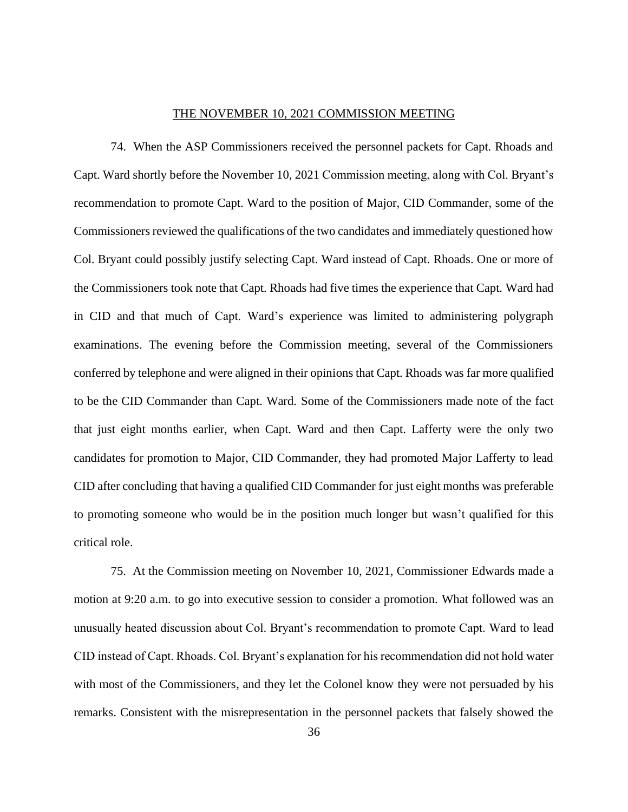#### THE NOVEMBER 10, 2021 COMMISSION MEETING

74. When the ASP Commissioners received the personnel packets for Capt. Rhoads and Capt. Ward shortly before the November 10, 2021 Commission meeting, along with Col. Bryant's recommendation to promote Capt. Ward to the position of Major, CID Commander, some of the Commissioners reviewed the qualifications of the two candidates and immediately questioned how Col. Bryant could possibly justify selecting Capt. Ward instead of Capt. Rhoads. One or more of the Commissioners took note that Capt. Rhoads had five times the experience that Capt. Ward had in CID and that much of Capt. Ward's experience was limited to administering polygraph examinations. The evening before the Commission meeting, several of the Commissioners conferred by telephone and were aligned in their opinions that Capt. Rhoads was far more qualified to be the CID Commander than Capt. Ward. Some of the Commissioners made note of the fact that just eight months earlier, when Capt. Ward and then Capt. Lafferty were the only two candidates for promotion to Major, CID Commander, they had promoted Major Lafferty to lead CID after concluding that having a qualified CID Commander for just eight months was preferable to promoting someone who would be in the position much longer but wasn't qualified for this critical role.

75. At the Commission meeting on November 10, 2021, Commissioner Edwards made a motion at 9:20 a.m. to go into executive session to consider a promotion. What followed was an unusually heated discussion about Col. Bryant's recommendation to promote Capt. Ward to lead CID instead of Capt. Rhoads. Col. Bryant's explanation for his recommendation did not hold water with most of the Commissioners, and they let the Colonel know they were not persuaded by his remarks. Consistent with the misrepresentation in the personnel packets that falsely showed the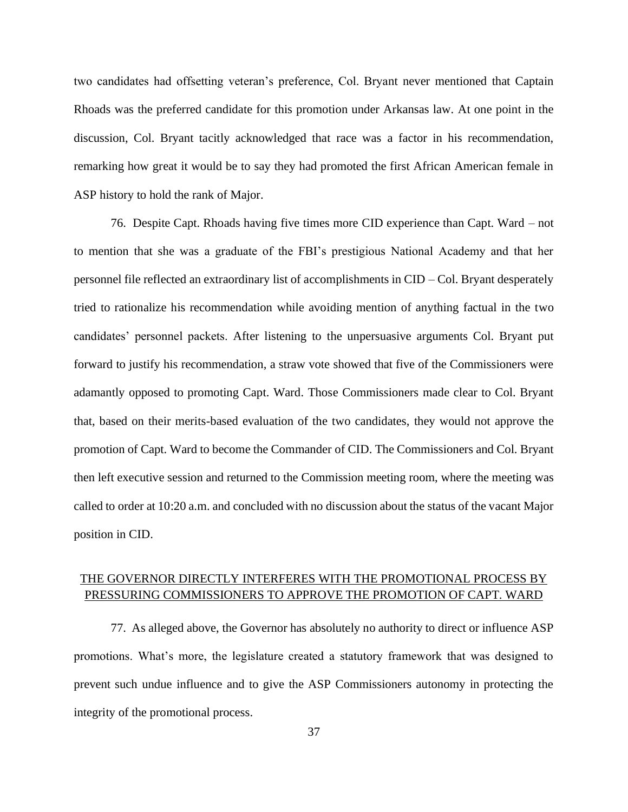two candidates had offsetting veteran's preference, Col. Bryant never mentioned that Captain Rhoads was the preferred candidate for this promotion under Arkansas law. At one point in the discussion, Col. Bryant tacitly acknowledged that race was a factor in his recommendation, remarking how great it would be to say they had promoted the first African American female in ASP history to hold the rank of Major.

76. Despite Capt. Rhoads having five times more CID experience than Capt. Ward – not to mention that she was a graduate of the FBI's prestigious National Academy and that her personnel file reflected an extraordinary list of accomplishments in CID – Col. Bryant desperately tried to rationalize his recommendation while avoiding mention of anything factual in the two candidates' personnel packets. After listening to the unpersuasive arguments Col. Bryant put forward to justify his recommendation, a straw vote showed that five of the Commissioners were adamantly opposed to promoting Capt. Ward. Those Commissioners made clear to Col. Bryant that, based on their merits-based evaluation of the two candidates, they would not approve the promotion of Capt. Ward to become the Commander of CID. The Commissioners and Col. Bryant then left executive session and returned to the Commission meeting room, where the meeting was called to order at 10:20 a.m. and concluded with no discussion about the status of the vacant Major position in CID.

# THE GOVERNOR DIRECTLY INTERFERES WITH THE PROMOTIONAL PROCESS BY PRESSURING COMMISSIONERS TO APPROVE THE PROMOTION OF CAPT. WARD

77. As alleged above, the Governor has absolutely no authority to direct or influence ASP promotions. What's more, the legislature created a statutory framework that was designed to prevent such undue influence and to give the ASP Commissioners autonomy in protecting the integrity of the promotional process.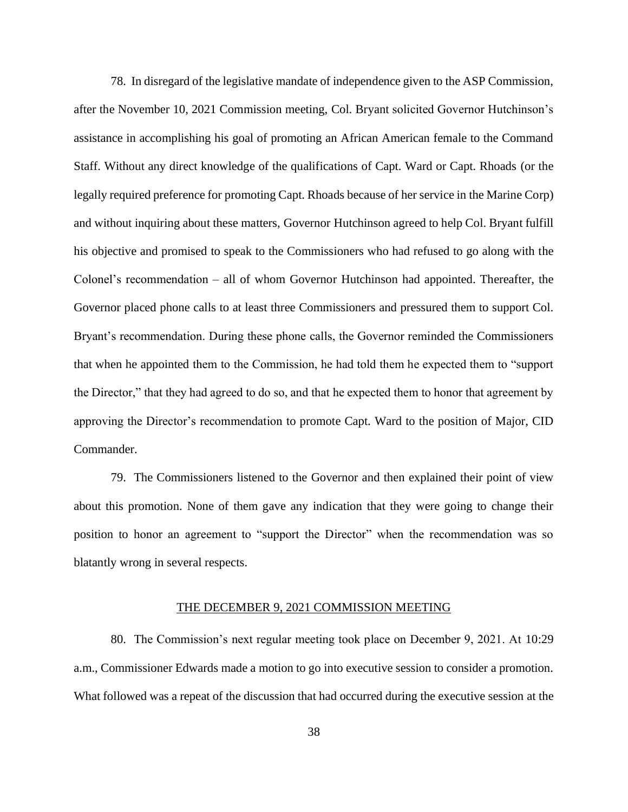78. In disregard of the legislative mandate of independence given to the ASP Commission, after the November 10, 2021 Commission meeting, Col. Bryant solicited Governor Hutchinson's assistance in accomplishing his goal of promoting an African American female to the Command Staff. Without any direct knowledge of the qualifications of Capt. Ward or Capt. Rhoads (or the legally required preference for promoting Capt. Rhoads because of her service in the Marine Corp) and without inquiring about these matters, Governor Hutchinson agreed to help Col. Bryant fulfill his objective and promised to speak to the Commissioners who had refused to go along with the Colonel's recommendation – all of whom Governor Hutchinson had appointed. Thereafter, the Governor placed phone calls to at least three Commissioners and pressured them to support Col. Bryant's recommendation. During these phone calls, the Governor reminded the Commissioners that when he appointed them to the Commission, he had told them he expected them to "support the Director," that they had agreed to do so, and that he expected them to honor that agreement by approving the Director's recommendation to promote Capt. Ward to the position of Major, CID Commander.

79. The Commissioners listened to the Governor and then explained their point of view about this promotion. None of them gave any indication that they were going to change their position to honor an agreement to "support the Director" when the recommendation was so blatantly wrong in several respects.

#### THE DECEMBER 9, 2021 COMMISSION MEETING

80. The Commission's next regular meeting took place on December 9, 2021. At 10:29 a.m., Commissioner Edwards made a motion to go into executive session to consider a promotion. What followed was a repeat of the discussion that had occurred during the executive session at the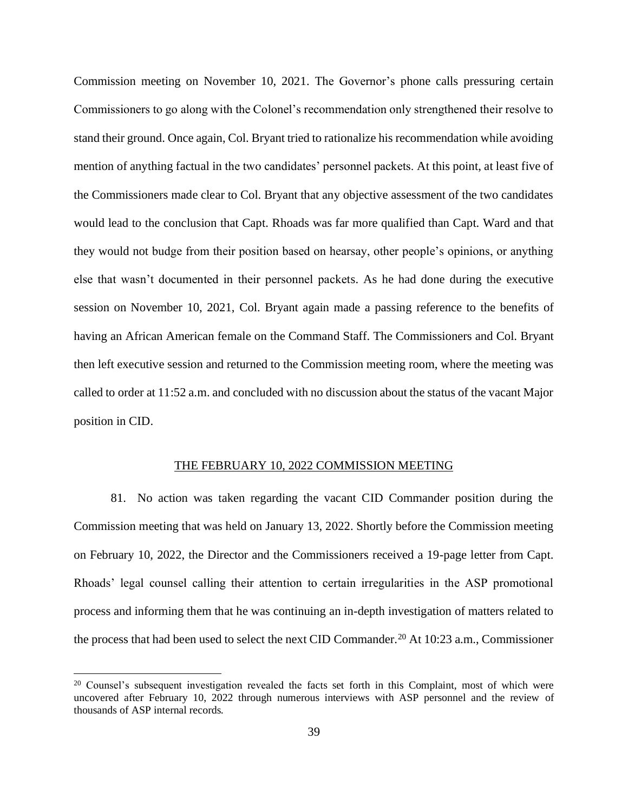Commission meeting on November 10, 2021. The Governor's phone calls pressuring certain Commissioners to go along with the Colonel's recommendation only strengthened their resolve to stand their ground. Once again, Col. Bryant tried to rationalize his recommendation while avoiding mention of anything factual in the two candidates' personnel packets. At this point, at least five of the Commissioners made clear to Col. Bryant that any objective assessment of the two candidates would lead to the conclusion that Capt. Rhoads was far more qualified than Capt. Ward and that they would not budge from their position based on hearsay, other people's opinions, or anything else that wasn't documented in their personnel packets. As he had done during the executive session on November 10, 2021, Col. Bryant again made a passing reference to the benefits of having an African American female on the Command Staff. The Commissioners and Col. Bryant then left executive session and returned to the Commission meeting room, where the meeting was called to order at 11:52 a.m. and concluded with no discussion about the status of the vacant Major position in CID.

#### THE FEBRUARY 10, 2022 COMMISSION MEETING

81. No action was taken regarding the vacant CID Commander position during the Commission meeting that was held on January 13, 2022. Shortly before the Commission meeting on February 10, 2022, the Director and the Commissioners received a 19-page letter from Capt. Rhoads' legal counsel calling their attention to certain irregularities in the ASP promotional process and informing them that he was continuing an in-depth investigation of matters related to the process that had been used to select the next CID Commander.<sup>20</sup> At 10:23 a.m., Commissioner

<sup>&</sup>lt;sup>20</sup> Counsel's subsequent investigation revealed the facts set forth in this Complaint, most of which were uncovered after February 10, 2022 through numerous interviews with ASP personnel and the review of thousands of ASP internal records.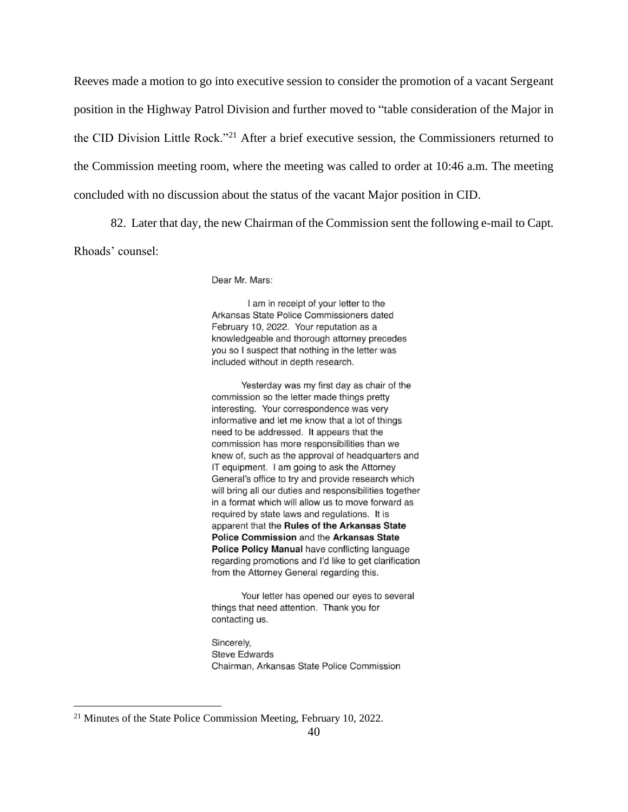Reeves made a motion to go into executive session to consider the promotion of a vacant Sergeant position in the Highway Patrol Division and further moved to "table consideration of the Major in the CID Division Little Rock."<sup>21</sup> After a brief executive session, the Commissioners returned to the Commission meeting room, where the meeting was called to order at 10:46 a.m. The meeting concluded with no discussion about the status of the vacant Major position in CID.

82. Later that day, the new Chairman of the Commission sent the following e-mail to Capt.

Rhoads' counsel:

Dear Mr. Mars:

I am in receipt of your letter to the Arkansas State Police Commissioners dated February 10, 2022. Your reputation as a knowledgeable and thorough attorney precedes you so I suspect that nothing in the letter was included without in depth research.

Yesterday was my first day as chair of the commission so the letter made things pretty interesting. Your correspondence was very informative and let me know that a lot of things need to be addressed. It appears that the commission has more responsibilities than we knew of, such as the approval of headquarters and IT equipment. I am going to ask the Attorney General's office to try and provide research which will bring all our duties and responsibilities together in a format which will allow us to move forward as required by state laws and regulations. It is apparent that the Rules of the Arkansas State Police Commission and the Arkansas State Police Policy Manual have conflicting language regarding promotions and I'd like to get clarification from the Attorney General regarding this.

Your letter has opened our eves to several things that need attention. Thank you for contacting us.

Sincerely, **Steve Edwards** Chairman, Arkansas State Police Commission

<sup>&</sup>lt;sup>21</sup> Minutes of the State Police Commission Meeting, February 10, 2022.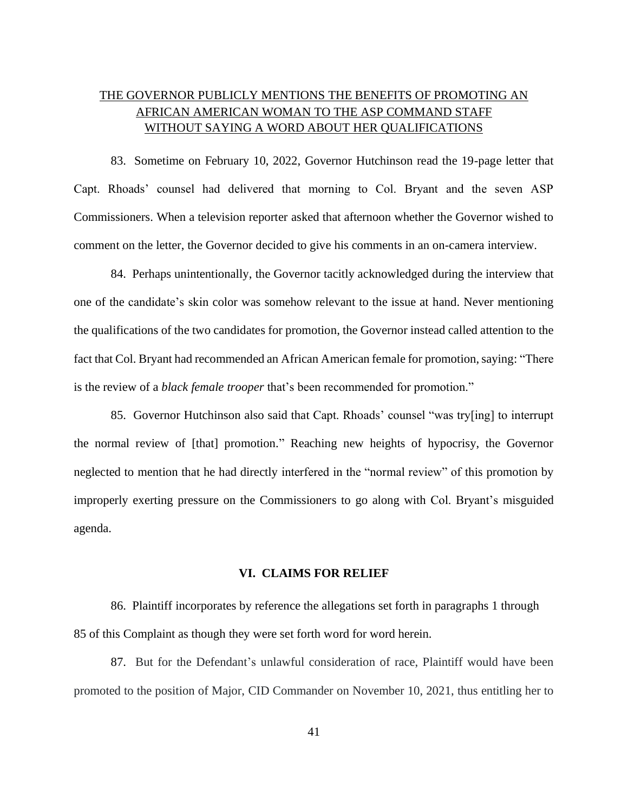# THE GOVERNOR PUBLICLY MENTIONS THE BENEFITS OF PROMOTING AN AFRICAN AMERICAN WOMAN TO THE ASP COMMAND STAFF WITHOUT SAYING A WORD ABOUT HER QUALIFICATIONS

83. Sometime on February 10, 2022, Governor Hutchinson read the 19-page letter that Capt. Rhoads' counsel had delivered that morning to Col. Bryant and the seven ASP Commissioners. When a television reporter asked that afternoon whether the Governor wished to comment on the letter, the Governor decided to give his comments in an on-camera interview.

84. Perhaps unintentionally, the Governor tacitly acknowledged during the interview that one of the candidate's skin color was somehow relevant to the issue at hand. Never mentioning the qualifications of the two candidates for promotion, the Governor instead called attention to the fact that Col. Bryant had recommended an African American female for promotion, saying: "There is the review of a *black female trooper* that's been recommended for promotion."

85. Governor Hutchinson also said that Capt. Rhoads' counsel "was try[ing] to interrupt the normal review of [that] promotion." Reaching new heights of hypocrisy, the Governor neglected to mention that he had directly interfered in the "normal review" of this promotion by improperly exerting pressure on the Commissioners to go along with Col. Bryant's misguided agenda.

#### **VI. CLAIMS FOR RELIEF**

86. Plaintiff incorporates by reference the allegations set forth in paragraphs 1 through 85 of this Complaint as though they were set forth word for word herein.

87. But for the Defendant's unlawful consideration of race, Plaintiff would have been promoted to the position of Major, CID Commander on November 10, 2021, thus entitling her to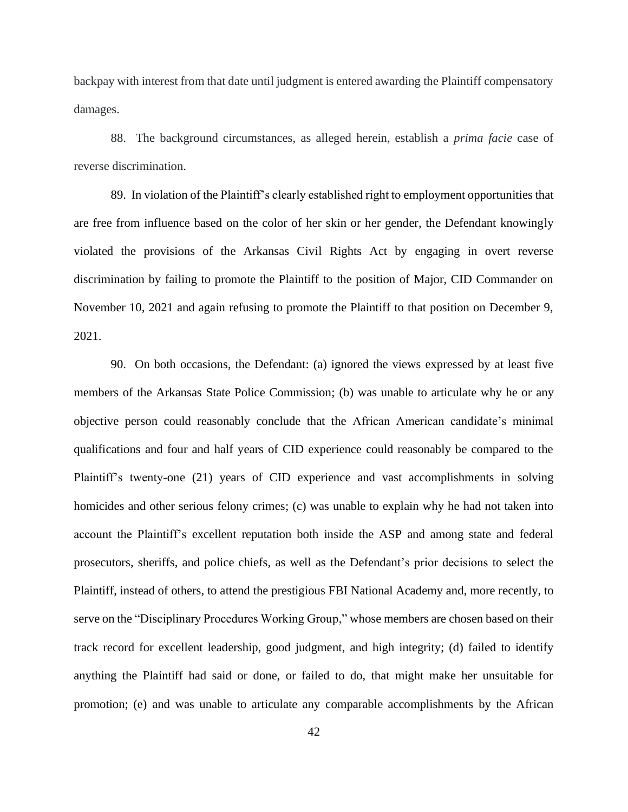backpay with interest from that date until judgment is entered awarding the Plaintiff compensatory damages.

88. The background circumstances, as alleged herein, establish a *prima facie* case of reverse discrimination.

89. In violation of the Plaintiff's clearly established right to employment opportunities that are free from influence based on the color of her skin or her gender, the Defendant knowingly violated the provisions of the Arkansas Civil Rights Act by engaging in overt reverse discrimination by failing to promote the Plaintiff to the position of Major, CID Commander on November 10, 2021 and again refusing to promote the Plaintiff to that position on December 9, 2021.

90. On both occasions, the Defendant: (a) ignored the views expressed by at least five members of the Arkansas State Police Commission; (b) was unable to articulate why he or any objective person could reasonably conclude that the African American candidate's minimal qualifications and four and half years of CID experience could reasonably be compared to the Plaintiff's twenty-one (21) years of CID experience and vast accomplishments in solving homicides and other serious felony crimes; (c) was unable to explain why he had not taken into account the Plaintiff's excellent reputation both inside the ASP and among state and federal prosecutors, sheriffs, and police chiefs, as well as the Defendant's prior decisions to select the Plaintiff, instead of others, to attend the prestigious FBI National Academy and, more recently, to serve on the "Disciplinary Procedures Working Group," whose members are chosen based on their track record for excellent leadership, good judgment, and high integrity; (d) failed to identify anything the Plaintiff had said or done, or failed to do, that might make her unsuitable for promotion; (e) and was unable to articulate any comparable accomplishments by the African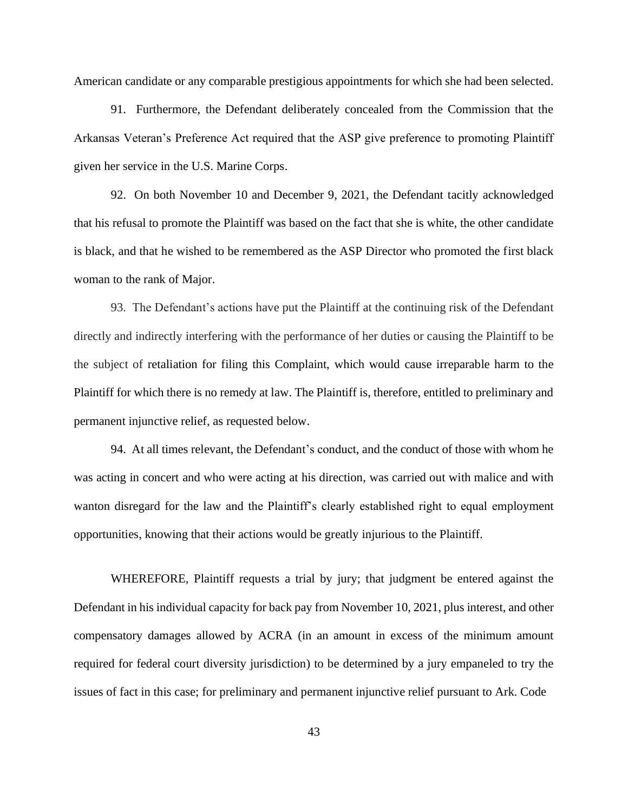American candidate or any comparable prestigious appointments for which she had been selected.

91. Furthermore, the Defendant deliberately concealed from the Commission that the Arkansas Veteran's Preference Act required that the ASP give preference to promoting Plaintiff given her service in the U.S. Marine Corps.

92. On both November 10 and December 9, 2021, the Defendant tacitly acknowledged that his refusal to promote the Plaintiff was based on the fact that she is white, the other candidate is black, and that he wished to be remembered as the ASP Director who promoted the first black woman to the rank of Major.

93. The Defendant's actions have put the Plaintiff at the continuing risk of the Defendant directly and indirectly interfering with the performance of her duties or causing the Plaintiff to be the subject of retaliation for filing this Complaint, which would cause irreparable harm to the Plaintiff for which there is no remedy at law. The Plaintiff is, therefore, entitled to preliminary and permanent injunctive relief, as requested below.

94. At all times relevant, the Defendant's conduct, and the conduct of those with whom he was acting in concert and who were acting at his direction, was carried out with malice and with wanton disregard for the law and the Plaintiff's clearly established right to equal employment opportunities, knowing that their actions would be greatly injurious to the Plaintiff.

WHEREFORE, Plaintiff requests a trial by jury; that judgment be entered against the Defendant in his individual capacity for back pay from November 10, 2021, plus interest, and other compensatory damages allowed by ACRA (in an amount in excess of the minimum amount required for federal court diversity jurisdiction) to be determined by a jury empaneled to try the issues of fact in this case; for preliminary and permanent injunctive relief pursuant to Ark. Code